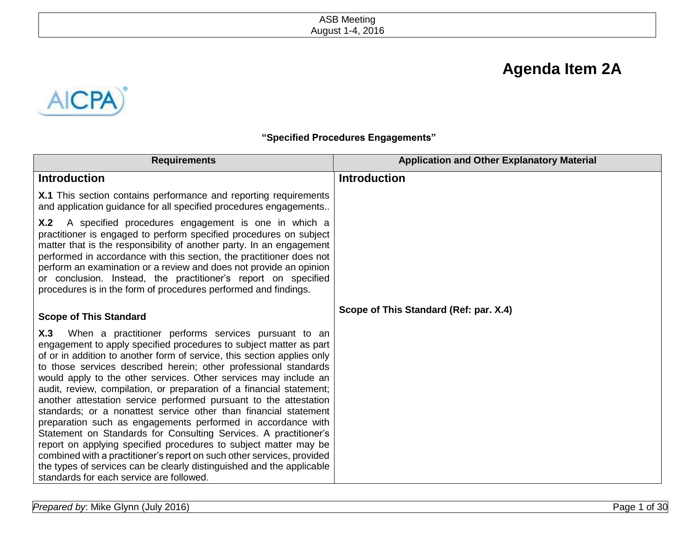# **Agenda Item 2A**



**"Specified Procedures Engagements"**

| <b>Requirements</b>                                                                                                                                                                                                                                                                                                                                                                                                                                                                                                                                                                                                                                                                                                                                                                                                                                                                                                                                                          | <b>Application and Other Explanatory Material</b> |
|------------------------------------------------------------------------------------------------------------------------------------------------------------------------------------------------------------------------------------------------------------------------------------------------------------------------------------------------------------------------------------------------------------------------------------------------------------------------------------------------------------------------------------------------------------------------------------------------------------------------------------------------------------------------------------------------------------------------------------------------------------------------------------------------------------------------------------------------------------------------------------------------------------------------------------------------------------------------------|---------------------------------------------------|
| <b>Introduction</b>                                                                                                                                                                                                                                                                                                                                                                                                                                                                                                                                                                                                                                                                                                                                                                                                                                                                                                                                                          | <b>Introduction</b>                               |
| X.1 This section contains performance and reporting requirements<br>and application guidance for all specified procedures engagements                                                                                                                                                                                                                                                                                                                                                                                                                                                                                                                                                                                                                                                                                                                                                                                                                                        |                                                   |
| A specified procedures engagement is one in which a<br>X.2<br>practitioner is engaged to perform specified procedures on subject<br>matter that is the responsibility of another party. In an engagement<br>performed in accordance with this section, the practitioner does not<br>perform an examination or a review and does not provide an opinion<br>or conclusion. Instead, the practitioner's report on specified<br>procedures is in the form of procedures performed and findings.                                                                                                                                                                                                                                                                                                                                                                                                                                                                                  |                                                   |
| <b>Scope of This Standard</b>                                                                                                                                                                                                                                                                                                                                                                                                                                                                                                                                                                                                                                                                                                                                                                                                                                                                                                                                                | Scope of This Standard (Ref: par. X.4)            |
| When a practitioner performs services pursuant to an<br>X.3<br>engagement to apply specified procedures to subject matter as part<br>of or in addition to another form of service, this section applies only<br>to those services described herein; other professional standards<br>would apply to the other services. Other services may include an<br>audit, review, compilation, or preparation of a financial statement;<br>another attestation service performed pursuant to the attestation<br>standards; or a nonattest service other than financial statement<br>preparation such as engagements performed in accordance with<br>Statement on Standards for Consulting Services. A practitioner's<br>report on applying specified procedures to subject matter may be<br>combined with a practitioner's report on such other services, provided<br>the types of services can be clearly distinguished and the applicable<br>standards for each service are followed. |                                                   |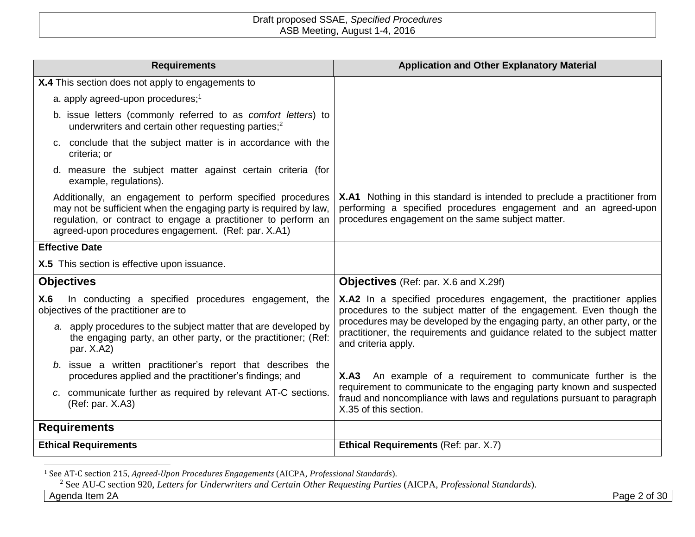| <b>Requirements</b>                                                                                                                                                                                                                                       | <b>Application and Other Explanatory Material</b>                                                                                                                                                 |
|-----------------------------------------------------------------------------------------------------------------------------------------------------------------------------------------------------------------------------------------------------------|---------------------------------------------------------------------------------------------------------------------------------------------------------------------------------------------------|
| X.4 This section does not apply to engagements to                                                                                                                                                                                                         |                                                                                                                                                                                                   |
| a. apply agreed-upon procedures; <sup>1</sup>                                                                                                                                                                                                             |                                                                                                                                                                                                   |
| b. issue letters (commonly referred to as comfort letters) to<br>underwriters and certain other requesting parties; <sup>2</sup>                                                                                                                          |                                                                                                                                                                                                   |
| c. conclude that the subject matter is in accordance with the<br>criteria; or                                                                                                                                                                             |                                                                                                                                                                                                   |
| d. measure the subject matter against certain criteria (for<br>example, regulations).                                                                                                                                                                     |                                                                                                                                                                                                   |
| Additionally, an engagement to perform specified procedures<br>may not be sufficient when the engaging party is required by law,<br>regulation, or contract to engage a practitioner to perform an<br>agreed-upon procedures engagement. (Ref: par. X.A1) | X.A1 Nothing in this standard is intended to preclude a practitioner from<br>performing a specified procedures engagement and an agreed-upon<br>procedures engagement on the same subject matter. |
| <b>Effective Date</b>                                                                                                                                                                                                                                     |                                                                                                                                                                                                   |
| X.5 This section is effective upon issuance.                                                                                                                                                                                                              |                                                                                                                                                                                                   |
| <b>Objectives</b>                                                                                                                                                                                                                                         | <b>Objectives</b> (Ref: par. X.6 and X.29f)                                                                                                                                                       |
| In conducting a specified procedures engagement, the<br>X.6<br>objectives of the practitioner are to                                                                                                                                                      | X.A2 In a specified procedures engagement, the practitioner applies<br>procedures to the subject matter of the engagement. Even though the                                                        |
| a. apply procedures to the subject matter that are developed by<br>the engaging party, an other party, or the practitioner; (Ref:<br>par. X.A2)                                                                                                           | procedures may be developed by the engaging party, an other party, or the<br>practitioner, the requirements and guidance related to the subject matter<br>and criteria apply.                     |
| b. issue a written practitioner's report that describes the<br>procedures applied and the practitioner's findings; and                                                                                                                                    | X.A3 An example of a requirement to communicate further is the                                                                                                                                    |
| c. communicate further as required by relevant AT-C sections.<br>(Ref: par. X.A3)                                                                                                                                                                         | requirement to communicate to the engaging party known and suspected<br>fraud and noncompliance with laws and regulations pursuant to paragraph<br>X.35 of this section.                          |
| <b>Requirements</b>                                                                                                                                                                                                                                       |                                                                                                                                                                                                   |
| <b>Ethical Requirements</b>                                                                                                                                                                                                                               | Ethical Requirements (Ref: par. X.7)                                                                                                                                                              |

<sup>1</sup> See AT-C section 215, *Agreed-Upon Procedures Engagements* (AICPA, *Professional Standards*).

 $\overline{a}$ 

<sup>2</sup> See AU-C section 920, *Letters for Underwriters and Certain Other Requesting Parties* (AICPA, *Professional Standards*).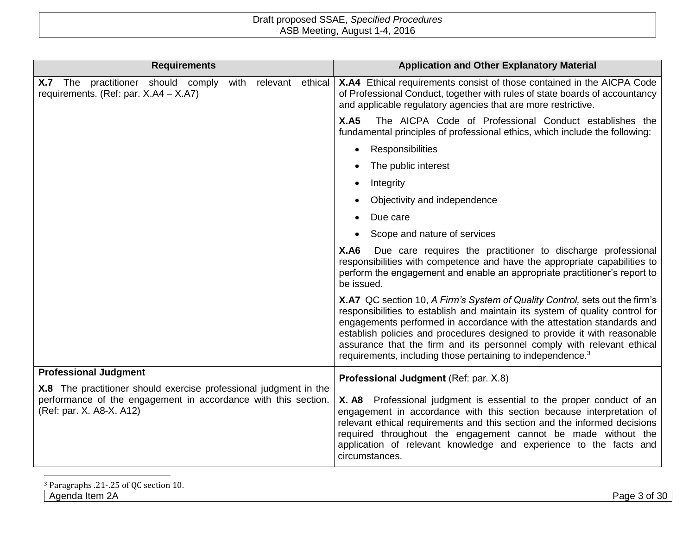| <b>Requirements</b>                                                                                                                                             | <b>Application and Other Explanatory Material</b>                                                                                                                                                                                                                                                                                                                                                                                                                     |
|-----------------------------------------------------------------------------------------------------------------------------------------------------------------|-----------------------------------------------------------------------------------------------------------------------------------------------------------------------------------------------------------------------------------------------------------------------------------------------------------------------------------------------------------------------------------------------------------------------------------------------------------------------|
| X.7 The practitioner should comply<br>relevant ethical<br>with<br>requirements. (Ref: par. X.A4 - X.A7)                                                         | X.A4 Ethical requirements consist of those contained in the AICPA Code<br>of Professional Conduct, together with rules of state boards of accountancy<br>and applicable regulatory agencies that are more restrictive.                                                                                                                                                                                                                                                |
|                                                                                                                                                                 | The AICPA Code of Professional Conduct establishes the<br>X.A5<br>fundamental principles of professional ethics, which include the following:                                                                                                                                                                                                                                                                                                                         |
|                                                                                                                                                                 | Responsibilities<br>$\bullet$                                                                                                                                                                                                                                                                                                                                                                                                                                         |
|                                                                                                                                                                 | The public interest                                                                                                                                                                                                                                                                                                                                                                                                                                                   |
|                                                                                                                                                                 | Integrity                                                                                                                                                                                                                                                                                                                                                                                                                                                             |
|                                                                                                                                                                 | Objectivity and independence                                                                                                                                                                                                                                                                                                                                                                                                                                          |
|                                                                                                                                                                 | Due care                                                                                                                                                                                                                                                                                                                                                                                                                                                              |
|                                                                                                                                                                 | Scope and nature of services                                                                                                                                                                                                                                                                                                                                                                                                                                          |
|                                                                                                                                                                 | <b>X.A6</b><br>Due care requires the practitioner to discharge professional<br>responsibilities with competence and have the appropriate capabilities to<br>perform the engagement and enable an appropriate practitioner's report to<br>be issued.                                                                                                                                                                                                                   |
|                                                                                                                                                                 | X.A7 QC section 10, A Firm's System of Quality Control, sets out the firm's<br>responsibilities to establish and maintain its system of quality control for<br>engagements performed in accordance with the attestation standards and<br>establish policies and procedures designed to provide it with reasonable<br>assurance that the firm and its personnel comply with relevant ethical<br>requirements, including those pertaining to independence. <sup>3</sup> |
| <b>Professional Judgment</b>                                                                                                                                    | Professional Judgment (Ref: par. X.8)                                                                                                                                                                                                                                                                                                                                                                                                                                 |
| X.8 The practitioner should exercise professional judgment in the<br>performance of the engagement in accordance with this section.<br>(Ref: par. X. A8-X. A12) | X. A8 Professional judgment is essential to the proper conduct of an<br>engagement in accordance with this section because interpretation of<br>relevant ethical requirements and this section and the informed decisions<br>required throughout the engagement cannot be made without the<br>application of relevant knowledge and experience to the facts and<br>circumstances.                                                                                     |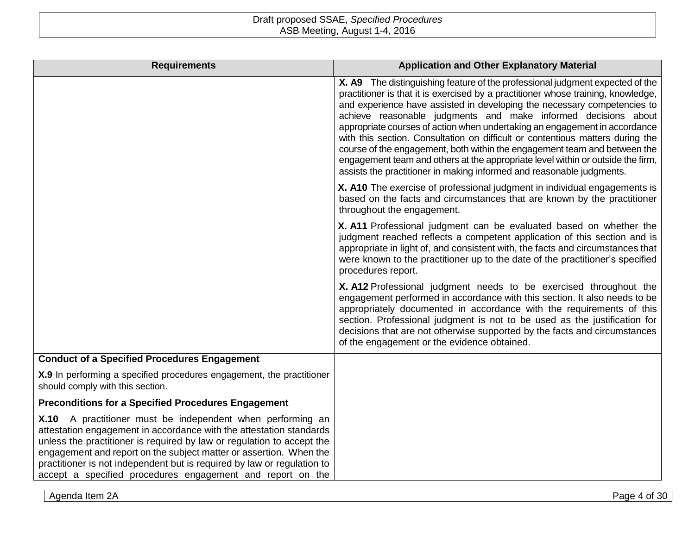| <b>Requirements</b>                                                                                                                                                                                                                                                                                                                                                                                                        | <b>Application and Other Explanatory Material</b>                                                                                                                                                                                                                                                                                                                                                                                                                                                                                                                                                                                                                                                                         |
|----------------------------------------------------------------------------------------------------------------------------------------------------------------------------------------------------------------------------------------------------------------------------------------------------------------------------------------------------------------------------------------------------------------------------|---------------------------------------------------------------------------------------------------------------------------------------------------------------------------------------------------------------------------------------------------------------------------------------------------------------------------------------------------------------------------------------------------------------------------------------------------------------------------------------------------------------------------------------------------------------------------------------------------------------------------------------------------------------------------------------------------------------------------|
|                                                                                                                                                                                                                                                                                                                                                                                                                            | X. A9 The distinguishing feature of the professional judgment expected of the<br>practitioner is that it is exercised by a practitioner whose training, knowledge,<br>and experience have assisted in developing the necessary competencies to<br>achieve reasonable judgments and make informed decisions about<br>appropriate courses of action when undertaking an engagement in accordance<br>with this section. Consultation on difficult or contentious matters during the<br>course of the engagement, both within the engagement team and between the<br>engagement team and others at the appropriate level within or outside the firm,<br>assists the practitioner in making informed and reasonable judgments. |
|                                                                                                                                                                                                                                                                                                                                                                                                                            | X. A10 The exercise of professional judgment in individual engagements is<br>based on the facts and circumstances that are known by the practitioner<br>throughout the engagement.                                                                                                                                                                                                                                                                                                                                                                                                                                                                                                                                        |
|                                                                                                                                                                                                                                                                                                                                                                                                                            | X. A11 Professional judgment can be evaluated based on whether the<br>judgment reached reflects a competent application of this section and is<br>appropriate in light of, and consistent with, the facts and circumstances that<br>were known to the practitioner up to the date of the practitioner's specified<br>procedures report.                                                                                                                                                                                                                                                                                                                                                                                   |
|                                                                                                                                                                                                                                                                                                                                                                                                                            | X. A12 Professional judgment needs to be exercised throughout the<br>engagement performed in accordance with this section. It also needs to be<br>appropriately documented in accordance with the requirements of this<br>section. Professional judgment is not to be used as the justification for<br>decisions that are not otherwise supported by the facts and circumstances<br>of the engagement or the evidence obtained.                                                                                                                                                                                                                                                                                           |
| <b>Conduct of a Specified Procedures Engagement</b>                                                                                                                                                                                                                                                                                                                                                                        |                                                                                                                                                                                                                                                                                                                                                                                                                                                                                                                                                                                                                                                                                                                           |
| X.9 In performing a specified procedures engagement, the practitioner<br>should comply with this section.                                                                                                                                                                                                                                                                                                                  |                                                                                                                                                                                                                                                                                                                                                                                                                                                                                                                                                                                                                                                                                                                           |
| <b>Preconditions for a Specified Procedures Engagement</b>                                                                                                                                                                                                                                                                                                                                                                 |                                                                                                                                                                                                                                                                                                                                                                                                                                                                                                                                                                                                                                                                                                                           |
| X.10 A practitioner must be independent when performing an<br>attestation engagement in accordance with the attestation standards<br>unless the practitioner is required by law or regulation to accept the<br>engagement and report on the subject matter or assertion. When the<br>practitioner is not independent but is required by law or regulation to<br>accept a specified procedures engagement and report on the |                                                                                                                                                                                                                                                                                                                                                                                                                                                                                                                                                                                                                                                                                                                           |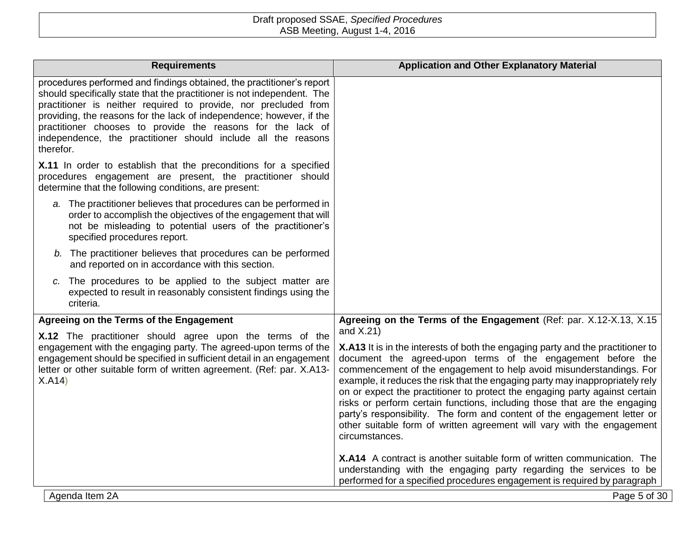| procedures performed and findings obtained, the practitioner's report<br>should specifically state that the practitioner is not independent. The<br>practitioner is neither required to provide, nor precluded from<br>providing, the reasons for the lack of independence; however, if the<br>practitioner chooses to provide the reasons for the lack of<br>independence, the practitioner should include all the reasons<br>therefor.<br>X.11 In order to establish that the preconditions for a specified<br>procedures engagement are present, the practitioner should<br>determine that the following conditions, are present:<br>a. The practitioner believes that procedures can be performed in<br>order to accomplish the objectives of the engagement that will<br>not be misleading to potential users of the practitioner's<br>specified procedures report.<br>b. The practitioner believes that procedures can be performed<br>and reported on in accordance with this section.<br>c. The procedures to be applied to the subject matter are<br>expected to result in reasonably consistent findings using the<br>criteria.<br>Agreeing on the Terms of the Engagement (Ref: par. X.12-X.13, X.15<br>Agreeing on the Terms of the Engagement<br>and X.21)<br>X.12 The practitioner should agree upon the terms of the<br>engagement with the engaging party. The agreed-upon terms of the<br>X.A13 It is in the interests of both the engaging party and the practitioner to<br>engagement should be specified in sufficient detail in an engagement<br>document the agreed-upon terms of the engagement before the |
|-----------------------------------------------------------------------------------------------------------------------------------------------------------------------------------------------------------------------------------------------------------------------------------------------------------------------------------------------------------------------------------------------------------------------------------------------------------------------------------------------------------------------------------------------------------------------------------------------------------------------------------------------------------------------------------------------------------------------------------------------------------------------------------------------------------------------------------------------------------------------------------------------------------------------------------------------------------------------------------------------------------------------------------------------------------------------------------------------------------------------------------------------------------------------------------------------------------------------------------------------------------------------------------------------------------------------------------------------------------------------------------------------------------------------------------------------------------------------------------------------------------------------------------------------------------------------------------------------------------------------------------|
|                                                                                                                                                                                                                                                                                                                                                                                                                                                                                                                                                                                                                                                                                                                                                                                                                                                                                                                                                                                                                                                                                                                                                                                                                                                                                                                                                                                                                                                                                                                                                                                                                                   |
|                                                                                                                                                                                                                                                                                                                                                                                                                                                                                                                                                                                                                                                                                                                                                                                                                                                                                                                                                                                                                                                                                                                                                                                                                                                                                                                                                                                                                                                                                                                                                                                                                                   |
|                                                                                                                                                                                                                                                                                                                                                                                                                                                                                                                                                                                                                                                                                                                                                                                                                                                                                                                                                                                                                                                                                                                                                                                                                                                                                                                                                                                                                                                                                                                                                                                                                                   |
|                                                                                                                                                                                                                                                                                                                                                                                                                                                                                                                                                                                                                                                                                                                                                                                                                                                                                                                                                                                                                                                                                                                                                                                                                                                                                                                                                                                                                                                                                                                                                                                                                                   |
|                                                                                                                                                                                                                                                                                                                                                                                                                                                                                                                                                                                                                                                                                                                                                                                                                                                                                                                                                                                                                                                                                                                                                                                                                                                                                                                                                                                                                                                                                                                                                                                                                                   |
|                                                                                                                                                                                                                                                                                                                                                                                                                                                                                                                                                                                                                                                                                                                                                                                                                                                                                                                                                                                                                                                                                                                                                                                                                                                                                                                                                                                                                                                                                                                                                                                                                                   |
| commencement of the engagement to help avoid misunderstandings. For<br>letter or other suitable form of written agreement. (Ref: par. X.A13-<br>example, it reduces the risk that the engaging party may inappropriately rely<br>X.A14)<br>on or expect the practitioner to protect the engaging party against certain<br>risks or perform certain functions, including those that are the engaging<br>party's responsibility. The form and content of the engagement letter or<br>other suitable form of written agreement will vary with the engagement<br>circumstances.                                                                                                                                                                                                                                                                                                                                                                                                                                                                                                                                                                                                                                                                                                                                                                                                                                                                                                                                                                                                                                                       |
| X.A14 A contract is another suitable form of written communication. The<br>understanding with the engaging party regarding the services to be<br>performed for a specified procedures engagement is required by paragraph<br>Agenda Item 2A<br>Page 5 of 30                                                                                                                                                                                                                                                                                                                                                                                                                                                                                                                                                                                                                                                                                                                                                                                                                                                                                                                                                                                                                                                                                                                                                                                                                                                                                                                                                                       |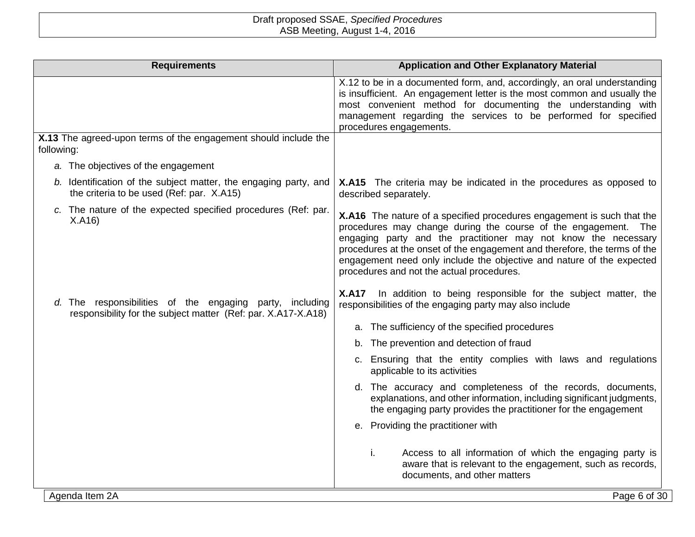|            | <b>Requirements</b>                                                                                                       | <b>Application and Other Explanatory Material</b>                                                                                                                                                                                                                                                                                                                                                             |
|------------|---------------------------------------------------------------------------------------------------------------------------|---------------------------------------------------------------------------------------------------------------------------------------------------------------------------------------------------------------------------------------------------------------------------------------------------------------------------------------------------------------------------------------------------------------|
|            |                                                                                                                           | X.12 to be in a documented form, and, accordingly, an oral understanding<br>is insufficient. An engagement letter is the most common and usually the<br>most convenient method for documenting the understanding with<br>management regarding the services to be performed for specified<br>procedures engagements.                                                                                           |
| following: | X.13 The agreed-upon terms of the engagement should include the                                                           |                                                                                                                                                                                                                                                                                                                                                                                                               |
|            | a. The objectives of the engagement                                                                                       |                                                                                                                                                                                                                                                                                                                                                                                                               |
|            | b. Identification of the subject matter, the engaging party, and<br>the criteria to be used (Ref: par. X.A15)             | <b>X.A15</b> The criteria may be indicated in the procedures as opposed to<br>described separately.                                                                                                                                                                                                                                                                                                           |
|            | c. The nature of the expected specified procedures (Ref: par.<br>X.A16                                                    | X.A16 The nature of a specified procedures engagement is such that the<br>procedures may change during the course of the engagement. The<br>engaging party and the practitioner may not know the necessary<br>procedures at the onset of the engagement and therefore, the terms of the<br>engagement need only include the objective and nature of the expected<br>procedures and not the actual procedures. |
|            | d. The responsibilities of the engaging party, including<br>responsibility for the subject matter (Ref: par. X.A17-X.A18) | In addition to being responsible for the subject matter, the<br><b>X.A17</b><br>responsibilities of the engaging party may also include                                                                                                                                                                                                                                                                       |
|            |                                                                                                                           | a. The sufficiency of the specified procedures                                                                                                                                                                                                                                                                                                                                                                |
|            |                                                                                                                           | b. The prevention and detection of fraud                                                                                                                                                                                                                                                                                                                                                                      |
|            |                                                                                                                           | c. Ensuring that the entity complies with laws and regulations<br>applicable to its activities                                                                                                                                                                                                                                                                                                                |
|            |                                                                                                                           | d. The accuracy and completeness of the records, documents,<br>explanations, and other information, including significant judgments,<br>the engaging party provides the practitioner for the engagement                                                                                                                                                                                                       |
|            |                                                                                                                           | e. Providing the practitioner with                                                                                                                                                                                                                                                                                                                                                                            |
|            |                                                                                                                           | Access to all information of which the engaging party is<br>i.<br>aware that is relevant to the engagement, such as records,<br>documents, and other matters                                                                                                                                                                                                                                                  |
|            | Agenda Item 2A                                                                                                            | Page 6 of 30                                                                                                                                                                                                                                                                                                                                                                                                  |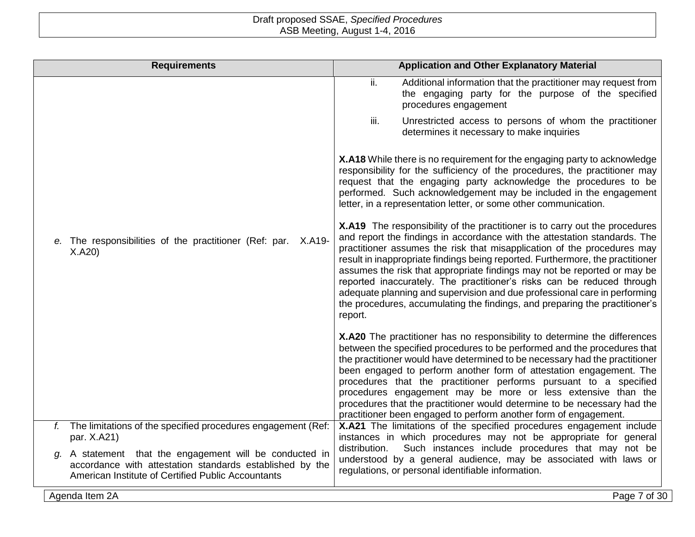| <b>Requirements</b>                                                                                                                                                          | <b>Application and Other Explanatory Material</b>                                                                                                                                                                                                                                                                                                                                                                                                                                                                                                                                                                                                         |
|------------------------------------------------------------------------------------------------------------------------------------------------------------------------------|-----------------------------------------------------------------------------------------------------------------------------------------------------------------------------------------------------------------------------------------------------------------------------------------------------------------------------------------------------------------------------------------------------------------------------------------------------------------------------------------------------------------------------------------------------------------------------------------------------------------------------------------------------------|
|                                                                                                                                                                              | ii.<br>Additional information that the practitioner may request from<br>the engaging party for the purpose of the specified<br>procedures engagement                                                                                                                                                                                                                                                                                                                                                                                                                                                                                                      |
|                                                                                                                                                                              | iii.<br>Unrestricted access to persons of whom the practitioner<br>determines it necessary to make inquiries                                                                                                                                                                                                                                                                                                                                                                                                                                                                                                                                              |
|                                                                                                                                                                              | X.A18 While there is no requirement for the engaging party to acknowledge<br>responsibility for the sufficiency of the procedures, the practitioner may<br>request that the engaging party acknowledge the procedures to be<br>performed. Such acknowledgement may be included in the engagement<br>letter, in a representation letter, or some other communication.                                                                                                                                                                                                                                                                                      |
| e. The responsibilities of the practitioner (Ref: par.<br>X.A19-<br>X.A20                                                                                                    | <b>X.A19</b> The responsibility of the practitioner is to carry out the procedures<br>and report the findings in accordance with the attestation standards. The<br>practitioner assumes the risk that misapplication of the procedures may<br>result in inappropriate findings being reported. Furthermore, the practitioner<br>assumes the risk that appropriate findings may not be reported or may be<br>reported inaccurately. The practitioner's risks can be reduced through<br>adequate planning and supervision and due professional care in performing<br>the procedures, accumulating the findings, and preparing the practitioner's<br>report. |
|                                                                                                                                                                              | X.A20 The practitioner has no responsibility to determine the differences<br>between the specified procedures to be performed and the procedures that<br>the practitioner would have determined to be necessary had the practitioner<br>been engaged to perform another form of attestation engagement. The<br>procedures that the practitioner performs pursuant to a specified<br>procedures engagement may be more or less extensive than the<br>procedures that the practitioner would determine to be necessary had the<br>practitioner been engaged to perform another form of engagement.                                                          |
| f. The limitations of the specified procedures engagement (Ref:<br>par. X.A21)                                                                                               | X.A21 The limitations of the specified procedures engagement include<br>instances in which procedures may not be appropriate for general                                                                                                                                                                                                                                                                                                                                                                                                                                                                                                                  |
| A statement that the engagement will be conducted in<br>q.<br>accordance with attestation standards established by the<br>American Institute of Certified Public Accountants | Such instances include procedures that may not be<br>distribution.<br>understood by a general audience, may be associated with laws or<br>regulations, or personal identifiable information.                                                                                                                                                                                                                                                                                                                                                                                                                                                              |
| Agenda Item 2A                                                                                                                                                               | Page 7 of 30                                                                                                                                                                                                                                                                                                                                                                                                                                                                                                                                                                                                                                              |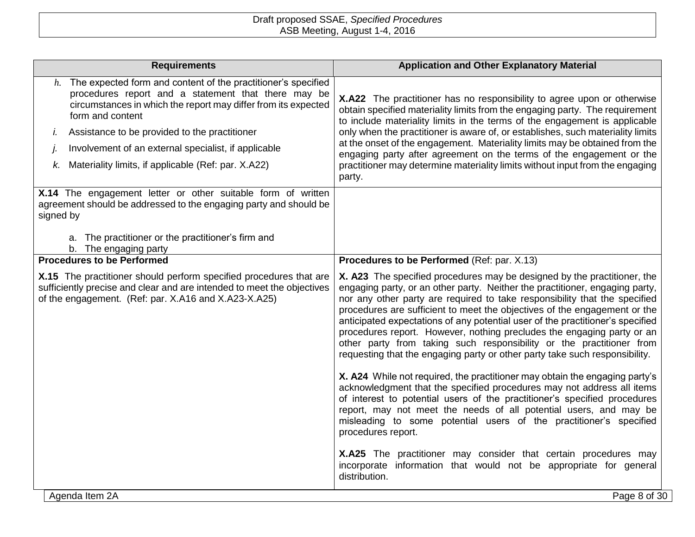|           | <b>Requirements</b>                                                                                                                                                                                                                                                                                                       | <b>Application and Other Explanatory Material</b>                                                                                                                                                                                                                                                                                                                                                                                                                                                                                                                                                                                      |
|-----------|---------------------------------------------------------------------------------------------------------------------------------------------------------------------------------------------------------------------------------------------------------------------------------------------------------------------------|----------------------------------------------------------------------------------------------------------------------------------------------------------------------------------------------------------------------------------------------------------------------------------------------------------------------------------------------------------------------------------------------------------------------------------------------------------------------------------------------------------------------------------------------------------------------------------------------------------------------------------------|
| I.        | $h$ . The expected form and content of the practitioner's specified<br>procedures report and a statement that there may be<br>circumstances in which the report may differ from its expected<br>form and content<br>Assistance to be provided to the practitioner<br>Involvement of an external specialist, if applicable | X.A22 The practitioner has no responsibility to agree upon or otherwise<br>obtain specified materiality limits from the engaging party. The requirement<br>to include materiality limits in the terms of the engagement is applicable<br>only when the practitioner is aware of, or establishes, such materiality limits<br>at the onset of the engagement. Materiality limits may be obtained from the<br>engaging party after agreement on the terms of the engagement or the                                                                                                                                                        |
| k.        | Materiality limits, if applicable (Ref: par. X.A22)                                                                                                                                                                                                                                                                       | practitioner may determine materiality limits without input from the engaging<br>party.                                                                                                                                                                                                                                                                                                                                                                                                                                                                                                                                                |
| signed by | X.14 The engagement letter or other suitable form of written<br>agreement should be addressed to the engaging party and should be                                                                                                                                                                                         |                                                                                                                                                                                                                                                                                                                                                                                                                                                                                                                                                                                                                                        |
|           | a. The practitioner or the practitioner's firm and<br>b. The engaging party                                                                                                                                                                                                                                               |                                                                                                                                                                                                                                                                                                                                                                                                                                                                                                                                                                                                                                        |
|           | <b>Procedures to be Performed</b>                                                                                                                                                                                                                                                                                         | Procedures to be Performed (Ref: par. X.13)                                                                                                                                                                                                                                                                                                                                                                                                                                                                                                                                                                                            |
|           | X.15 The practitioner should perform specified procedures that are<br>sufficiently precise and clear and are intended to meet the objectives<br>of the engagement. (Ref: par. X.A16 and X.A23-X.A25)                                                                                                                      | X. A23 The specified procedures may be designed by the practitioner, the<br>engaging party, or an other party. Neither the practitioner, engaging party,<br>nor any other party are required to take responsibility that the specified<br>procedures are sufficient to meet the objectives of the engagement or the<br>anticipated expectations of any potential user of the practitioner's specified<br>procedures report. However, nothing precludes the engaging party or an<br>other party from taking such responsibility or the practitioner from<br>requesting that the engaging party or other party take such responsibility. |
|           |                                                                                                                                                                                                                                                                                                                           | X. A24 While not required, the practitioner may obtain the engaging party's<br>acknowledgment that the specified procedures may not address all items<br>of interest to potential users of the practitioner's specified procedures<br>report, may not meet the needs of all potential users, and may be<br>misleading to some potential users of the practitioner's specified<br>procedures report.                                                                                                                                                                                                                                    |
|           |                                                                                                                                                                                                                                                                                                                           | X.A25 The practitioner may consider that certain procedures may<br>incorporate information that would not be appropriate for general<br>distribution.                                                                                                                                                                                                                                                                                                                                                                                                                                                                                  |
|           | Agenda Item 2A                                                                                                                                                                                                                                                                                                            | Page 8 of 30                                                                                                                                                                                                                                                                                                                                                                                                                                                                                                                                                                                                                           |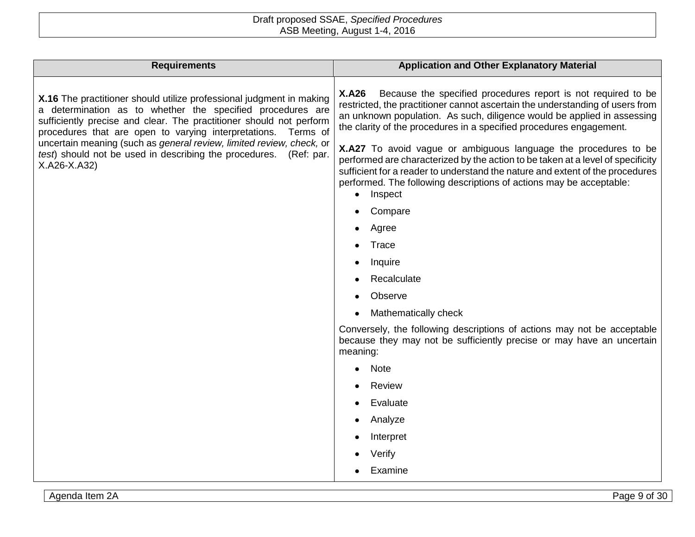| <b>Requirements</b>                                                                                                                                                                                                                                                           | <b>Application and Other Explanatory Material</b>                                                                                                                                                                                                                                                                       |
|-------------------------------------------------------------------------------------------------------------------------------------------------------------------------------------------------------------------------------------------------------------------------------|-------------------------------------------------------------------------------------------------------------------------------------------------------------------------------------------------------------------------------------------------------------------------------------------------------------------------|
| X.16 The practitioner should utilize professional judgment in making<br>a determination as to whether the specified procedures are<br>sufficiently precise and clear. The practitioner should not perform<br>procedures that are open to varying interpretations.<br>Terms of | <b>X.A26</b><br>Because the specified procedures report is not required to be<br>restricted, the practitioner cannot ascertain the understanding of users from<br>an unknown population. As such, diligence would be applied in assessing<br>the clarity of the procedures in a specified procedures engagement.        |
| uncertain meaning (such as general review, limited review, check, or<br>test) should not be used in describing the procedures.<br>(Ref: par.<br>X.A26-X.A32)                                                                                                                  | X.A27 To avoid vague or ambiguous language the procedures to be<br>performed are characterized by the action to be taken at a level of specificity<br>sufficient for a reader to understand the nature and extent of the procedures<br>performed. The following descriptions of actions may be acceptable:<br>• Inspect |
|                                                                                                                                                                                                                                                                               | Compare                                                                                                                                                                                                                                                                                                                 |
|                                                                                                                                                                                                                                                                               | Agree                                                                                                                                                                                                                                                                                                                   |
|                                                                                                                                                                                                                                                                               | Trace                                                                                                                                                                                                                                                                                                                   |
|                                                                                                                                                                                                                                                                               | Inquire                                                                                                                                                                                                                                                                                                                 |
|                                                                                                                                                                                                                                                                               | Recalculate                                                                                                                                                                                                                                                                                                             |
|                                                                                                                                                                                                                                                                               | Observe                                                                                                                                                                                                                                                                                                                 |
|                                                                                                                                                                                                                                                                               | Mathematically check                                                                                                                                                                                                                                                                                                    |
|                                                                                                                                                                                                                                                                               | Conversely, the following descriptions of actions may not be acceptable<br>because they may not be sufficiently precise or may have an uncertain<br>meaning:                                                                                                                                                            |
|                                                                                                                                                                                                                                                                               | Note                                                                                                                                                                                                                                                                                                                    |
|                                                                                                                                                                                                                                                                               | Review                                                                                                                                                                                                                                                                                                                  |
|                                                                                                                                                                                                                                                                               | Evaluate                                                                                                                                                                                                                                                                                                                |
|                                                                                                                                                                                                                                                                               | Analyze                                                                                                                                                                                                                                                                                                                 |
|                                                                                                                                                                                                                                                                               | Interpret                                                                                                                                                                                                                                                                                                               |
|                                                                                                                                                                                                                                                                               | Verify                                                                                                                                                                                                                                                                                                                  |
|                                                                                                                                                                                                                                                                               | Examine                                                                                                                                                                                                                                                                                                                 |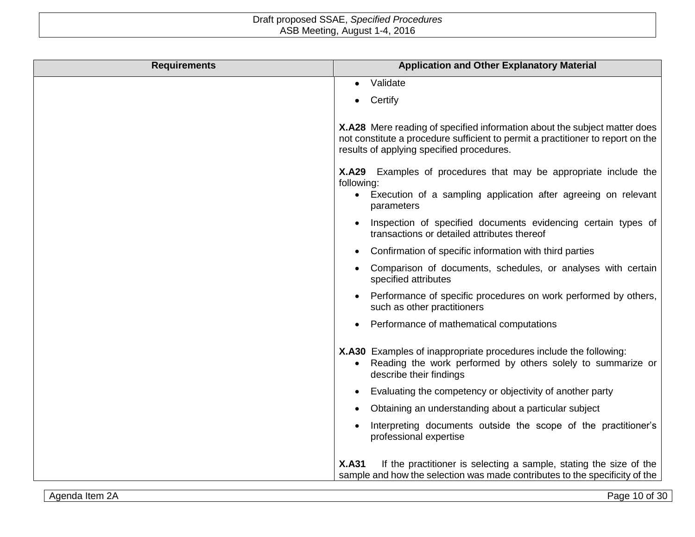| <b>Requirements</b> | <b>Application and Other Explanatory Material</b>                                                                                                                                                         |
|---------------------|-----------------------------------------------------------------------------------------------------------------------------------------------------------------------------------------------------------|
|                     | Validate<br>$\bullet$                                                                                                                                                                                     |
|                     | Certify                                                                                                                                                                                                   |
|                     | X.A28 Mere reading of specified information about the subject matter does<br>not constitute a procedure sufficient to permit a practitioner to report on the<br>results of applying specified procedures. |
|                     | X.A29 Examples of procedures that may be appropriate include the<br>following:<br>Execution of a sampling application after agreeing on relevant<br>$\bullet$<br>parameters                               |
|                     | Inspection of specified documents evidencing certain types of<br>transactions or detailed attributes thereof                                                                                              |
|                     | Confirmation of specific information with third parties                                                                                                                                                   |
|                     | Comparison of documents, schedules, or analyses with certain<br>specified attributes                                                                                                                      |
|                     | Performance of specific procedures on work performed by others,<br>such as other practitioners                                                                                                            |
|                     | Performance of mathematical computations                                                                                                                                                                  |
|                     | X.A30 Examples of inappropriate procedures include the following:<br>Reading the work performed by others solely to summarize or<br>$\bullet$<br>describe their findings                                  |
|                     | Evaluating the competency or objectivity of another party                                                                                                                                                 |
|                     | Obtaining an understanding about a particular subject                                                                                                                                                     |
|                     | Interpreting documents outside the scope of the practitioner's<br>professional expertise                                                                                                                  |
|                     | If the practitioner is selecting a sample, stating the size of the<br><b>X.A31</b><br>sample and how the selection was made contributes to the specificity of the                                         |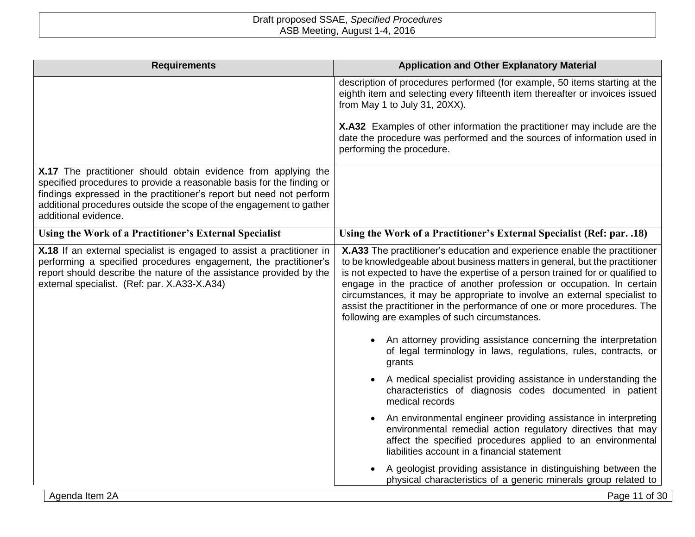| <b>Requirements</b>                                                                                                                                                                                                                                                                                            | <b>Application and Other Explanatory Material</b>                                                                                                                                                                                                                                                                                                                                                                                                                                                                                                                                                                                                                                          |
|----------------------------------------------------------------------------------------------------------------------------------------------------------------------------------------------------------------------------------------------------------------------------------------------------------------|--------------------------------------------------------------------------------------------------------------------------------------------------------------------------------------------------------------------------------------------------------------------------------------------------------------------------------------------------------------------------------------------------------------------------------------------------------------------------------------------------------------------------------------------------------------------------------------------------------------------------------------------------------------------------------------------|
|                                                                                                                                                                                                                                                                                                                | description of procedures performed (for example, 50 items starting at the<br>eighth item and selecting every fifteenth item thereafter or invoices issued<br>from May 1 to July 31, 20XX).                                                                                                                                                                                                                                                                                                                                                                                                                                                                                                |
|                                                                                                                                                                                                                                                                                                                | X.A32 Examples of other information the practitioner may include are the<br>date the procedure was performed and the sources of information used in<br>performing the procedure.                                                                                                                                                                                                                                                                                                                                                                                                                                                                                                           |
| X.17 The practitioner should obtain evidence from applying the<br>specified procedures to provide a reasonable basis for the finding or<br>findings expressed in the practitioner's report but need not perform<br>additional procedures outside the scope of the engagement to gather<br>additional evidence. |                                                                                                                                                                                                                                                                                                                                                                                                                                                                                                                                                                                                                                                                                            |
| Using the Work of a Practitioner's External Specialist                                                                                                                                                                                                                                                         | Using the Work of a Practitioner's External Specialist (Ref: par. .18)                                                                                                                                                                                                                                                                                                                                                                                                                                                                                                                                                                                                                     |
| X.18 If an external specialist is engaged to assist a practitioner in<br>performing a specified procedures engagement, the practitioner's<br>report should describe the nature of the assistance provided by the<br>external specialist. (Ref: par. X.A33-X.A34)                                               | X.A33 The practitioner's education and experience enable the practitioner<br>to be knowledgeable about business matters in general, but the practitioner<br>is not expected to have the expertise of a person trained for or qualified to<br>engage in the practice of another profession or occupation. In certain<br>circumstances, it may be appropriate to involve an external specialist to<br>assist the practitioner in the performance of one or more procedures. The<br>following are examples of such circumstances.<br>An attorney providing assistance concerning the interpretation<br>$\bullet$<br>of legal terminology in laws, regulations, rules, contracts, or<br>grants |
|                                                                                                                                                                                                                                                                                                                | A medical specialist providing assistance in understanding the<br>$\bullet$<br>characteristics of diagnosis codes documented in patient<br>medical records                                                                                                                                                                                                                                                                                                                                                                                                                                                                                                                                 |
|                                                                                                                                                                                                                                                                                                                | An environmental engineer providing assistance in interpreting<br>environmental remedial action regulatory directives that may<br>affect the specified procedures applied to an environmental<br>liabilities account in a financial statement                                                                                                                                                                                                                                                                                                                                                                                                                                              |
|                                                                                                                                                                                                                                                                                                                | A geologist providing assistance in distinguishing between the<br>$\bullet$<br>physical characteristics of a generic minerals group related to                                                                                                                                                                                                                                                                                                                                                                                                                                                                                                                                             |
| Agenda Item 2A                                                                                                                                                                                                                                                                                                 | Page 11 of 30                                                                                                                                                                                                                                                                                                                                                                                                                                                                                                                                                                                                                                                                              |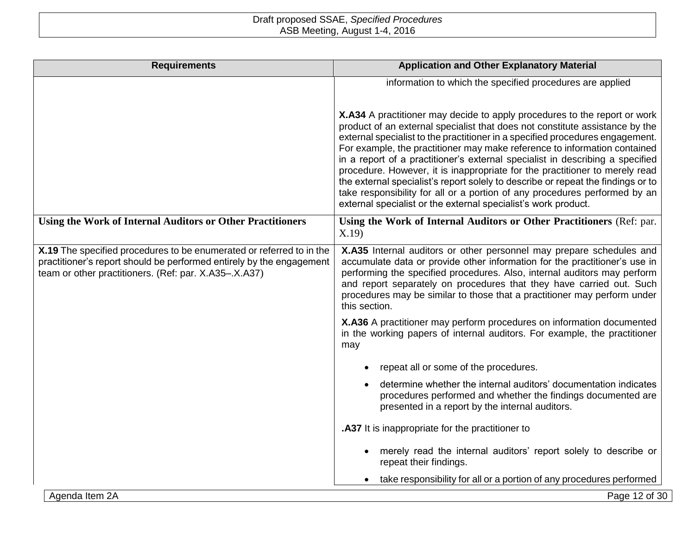| <b>Requirements</b>                                                                                                                                                                                   | <b>Application and Other Explanatory Material</b>                                                                                                                                                                                                                                                                                                                                                                                                                                                                                                                                                                                                                                                                           |
|-------------------------------------------------------------------------------------------------------------------------------------------------------------------------------------------------------|-----------------------------------------------------------------------------------------------------------------------------------------------------------------------------------------------------------------------------------------------------------------------------------------------------------------------------------------------------------------------------------------------------------------------------------------------------------------------------------------------------------------------------------------------------------------------------------------------------------------------------------------------------------------------------------------------------------------------------|
|                                                                                                                                                                                                       | information to which the specified procedures are applied                                                                                                                                                                                                                                                                                                                                                                                                                                                                                                                                                                                                                                                                   |
|                                                                                                                                                                                                       | X.A34 A practitioner may decide to apply procedures to the report or work<br>product of an external specialist that does not constitute assistance by the<br>external specialist to the practitioner in a specified procedures engagement.<br>For example, the practitioner may make reference to information contained<br>in a report of a practitioner's external specialist in describing a specified<br>procedure. However, it is inappropriate for the practitioner to merely read<br>the external specialist's report solely to describe or repeat the findings or to<br>take responsibility for all or a portion of any procedures performed by an<br>external specialist or the external specialist's work product. |
| Using the Work of Internal Auditors or Other Practitioners                                                                                                                                            | Using the Work of Internal Auditors or Other Practitioners (Ref: par.<br>X.19                                                                                                                                                                                                                                                                                                                                                                                                                                                                                                                                                                                                                                               |
| X.19 The specified procedures to be enumerated or referred to in the<br>practitioner's report should be performed entirely by the engagement<br>team or other practitioners. (Ref: par. X.A35-.X.A37) | X.A35 Internal auditors or other personnel may prepare schedules and<br>accumulate data or provide other information for the practitioner's use in<br>performing the specified procedures. Also, internal auditors may perform<br>and report separately on procedures that they have carried out. Such<br>procedures may be similar to those that a practitioner may perform under<br>this section.                                                                                                                                                                                                                                                                                                                         |
|                                                                                                                                                                                                       | X.A36 A practitioner may perform procedures on information documented<br>in the working papers of internal auditors. For example, the practitioner<br>may                                                                                                                                                                                                                                                                                                                                                                                                                                                                                                                                                                   |
|                                                                                                                                                                                                       | repeat all or some of the procedures.                                                                                                                                                                                                                                                                                                                                                                                                                                                                                                                                                                                                                                                                                       |
|                                                                                                                                                                                                       | determine whether the internal auditors' documentation indicates<br>procedures performed and whether the findings documented are<br>presented in a report by the internal auditors.                                                                                                                                                                                                                                                                                                                                                                                                                                                                                                                                         |
|                                                                                                                                                                                                       | .A37 It is inappropriate for the practitioner to                                                                                                                                                                                                                                                                                                                                                                                                                                                                                                                                                                                                                                                                            |
|                                                                                                                                                                                                       | merely read the internal auditors' report solely to describe or<br>repeat their findings.                                                                                                                                                                                                                                                                                                                                                                                                                                                                                                                                                                                                                                   |
|                                                                                                                                                                                                       | take responsibility for all or a portion of any procedures performed                                                                                                                                                                                                                                                                                                                                                                                                                                                                                                                                                                                                                                                        |
| Agenda Item 2A                                                                                                                                                                                        | Page 12 of 30                                                                                                                                                                                                                                                                                                                                                                                                                                                                                                                                                                                                                                                                                                               |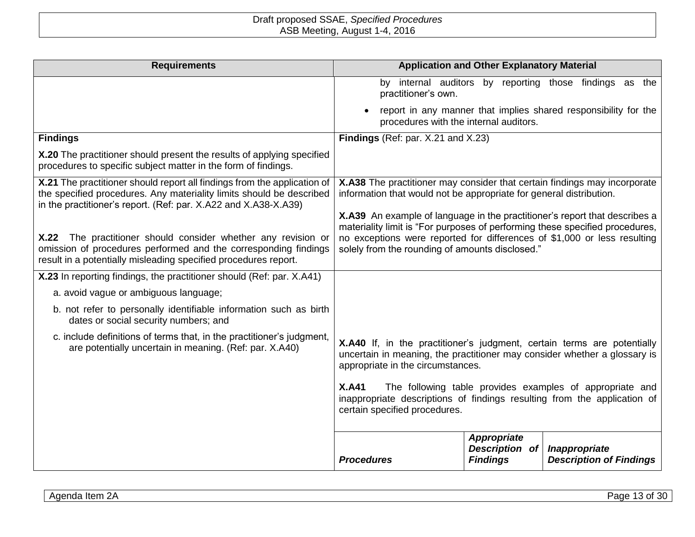| <b>Requirements</b>                                                                                                                                                                                                 |                                                                                                                                                                                                                                | <b>Application and Other Explanatory Material</b> |                                                                 |
|---------------------------------------------------------------------------------------------------------------------------------------------------------------------------------------------------------------------|--------------------------------------------------------------------------------------------------------------------------------------------------------------------------------------------------------------------------------|---------------------------------------------------|-----------------------------------------------------------------|
|                                                                                                                                                                                                                     | practitioner's own.                                                                                                                                                                                                            |                                                   | by internal auditors by reporting those findings as the         |
|                                                                                                                                                                                                                     | procedures with the internal auditors.                                                                                                                                                                                         |                                                   | report in any manner that implies shared responsibility for the |
| <b>Findings</b>                                                                                                                                                                                                     | Findings (Ref: par. X.21 and X.23)                                                                                                                                                                                             |                                                   |                                                                 |
| X.20 The practitioner should present the results of applying specified<br>procedures to specific subject matter in the form of findings.                                                                            |                                                                                                                                                                                                                                |                                                   |                                                                 |
| X.21 The practitioner should report all findings from the application of<br>the specified procedures. Any materiality limits should be described<br>in the practitioner's report. (Ref: par. X.A22 and X.A38-X.A39) | X.A38 The practitioner may consider that certain findings may incorporate<br>information that would not be appropriate for general distribution.<br>X.A39 An example of language in the practitioner's report that describes a |                                                   |                                                                 |
| X.22 The practitioner should consider whether any revision or<br>omission of procedures performed and the corresponding findings<br>result in a potentially misleading specified procedures report.                 | materiality limit is "For purposes of performing these specified procedures,<br>no exceptions were reported for differences of \$1,000 or less resulting<br>solely from the rounding of amounts disclosed."                    |                                                   |                                                                 |
| X.23 In reporting findings, the practitioner should (Ref: par. X.A41)                                                                                                                                               |                                                                                                                                                                                                                                |                                                   |                                                                 |
| a. avoid vague or ambiguous language;                                                                                                                                                                               |                                                                                                                                                                                                                                |                                                   |                                                                 |
| b. not refer to personally identifiable information such as birth<br>dates or social security numbers; and                                                                                                          |                                                                                                                                                                                                                                |                                                   |                                                                 |
| c. include definitions of terms that, in the practitioner's judgment,<br>are potentially uncertain in meaning. (Ref: par. X.A40)                                                                                    | X.A40 If, in the practitioner's judgment, certain terms are potentially<br>uncertain in meaning, the practitioner may consider whether a glossary is<br>appropriate in the circumstances.                                      |                                                   |                                                                 |
|                                                                                                                                                                                                                     | <b>X.A41</b><br>inappropriate descriptions of findings resulting from the application of<br>certain specified procedures.                                                                                                      |                                                   | The following table provides examples of appropriate and        |
|                                                                                                                                                                                                                     | <b>Procedures</b>                                                                                                                                                                                                              | Appropriate<br>Description of<br><b>Findings</b>  | Inappropriate<br><b>Description of Findings</b>                 |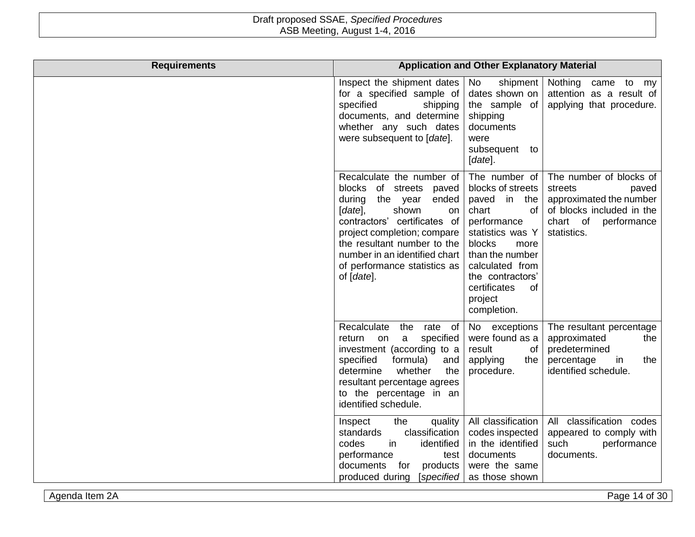| <b>Requirements</b> |                                                                                                                                                                                                                                                                                               | <b>Application and Other Explanatory Material</b>                                                                                                                                                                                   |                                                                                                                                               |
|---------------------|-----------------------------------------------------------------------------------------------------------------------------------------------------------------------------------------------------------------------------------------------------------------------------------------------|-------------------------------------------------------------------------------------------------------------------------------------------------------------------------------------------------------------------------------------|-----------------------------------------------------------------------------------------------------------------------------------------------|
|                     | Inspect the shipment dates<br>for a specified sample of<br>specified<br>shipping<br>documents, and determine<br>whether any such dates<br>were subsequent to [date].                                                                                                                          | shipment<br>No<br>dates shown on<br>the sample of<br>shipping<br>documents<br>were<br>subsequent to<br>[date].                                                                                                                      | Nothing came to<br>my<br>attention as a result of<br>applying that procedure.                                                                 |
|                     | Recalculate the number of<br>blocks of streets paved<br>during<br>the year<br>ended<br>$[date]$ ,<br>shown<br>on<br>contractors' certificates of<br>project completion; compare<br>the resultant number to the<br>number in an identified chart<br>of performance statistics as<br>of [date]. | The number of<br>blocks of streets<br>in the<br>paved<br>chart<br>of<br>performance<br>statistics was Y<br>blocks<br>more<br>than the number<br>calculated from<br>the contractors'<br>certificates<br>of<br>project<br>completion. | The number of blocks of<br>streets<br>paved<br>approximated the number<br>of blocks included in the<br>chart of<br>performance<br>statistics. |
|                     | Recalculate<br>the<br>rate of<br>specified<br>return<br>on<br>a<br>investment (according to a<br>specified<br>formula)<br>and<br>determine<br>whether<br>the<br>resultant percentage agrees<br>to the percentage in an<br>identified schedule.                                                | No exceptions<br>were found as a<br>result<br>of<br>applying<br>the<br>procedure.                                                                                                                                                   | The resultant percentage<br>approximated<br>the<br>predetermined<br>percentage<br>the<br>in<br>identified schedule.                           |
|                     | Inspect<br>the<br>quality<br>classification<br>standards<br>codes<br>in<br>identified<br>performance<br>test<br>documents<br>for<br>products<br>produced during<br>[specified                                                                                                                 | All classification<br>codes inspected<br>in the identified<br>documents<br>were the same<br>as those shown                                                                                                                          | All classification codes<br>appeared to comply with<br>such<br>performance<br>documents.                                                      |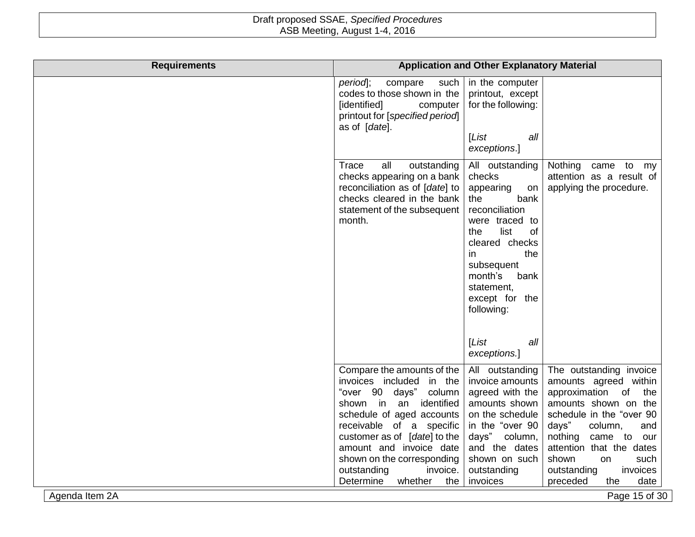| <b>Requirements</b> |                                                                                                                                                                       | <b>Application and Other Explanatory Material</b>                                                                                                                                                                                                                    |                                                                                                                                                            |
|---------------------|-----------------------------------------------------------------------------------------------------------------------------------------------------------------------|----------------------------------------------------------------------------------------------------------------------------------------------------------------------------------------------------------------------------------------------------------------------|------------------------------------------------------------------------------------------------------------------------------------------------------------|
|                     | period];<br>compare<br>such<br>codes to those shown in the<br>[identified]<br>computer<br>printout for [specified period]<br>as of [date].                            | in the computer<br>printout, except<br>for the following:<br>List<br>all<br>exceptions.]                                                                                                                                                                             |                                                                                                                                                            |
|                     | Trace<br>all<br>outstanding<br>checks appearing on a bank<br>reconciliation as of [date] to<br>checks cleared in the bank<br>statement of the subsequent<br>month.    | All outstanding<br>checks<br>appearing<br>on<br>the<br>bank<br>reconciliation<br>were traced to<br>list<br>of<br>the<br>cleared checks<br>the<br>in.<br>subsequent<br>month's<br>bank<br>statement,<br>except for the<br>following:<br>[List]<br>all<br>exceptions.] | Nothing came to<br>my<br>attention as a result of<br>applying the procedure.                                                                               |
|                     | Compare the amounts of the<br>invoices included in the<br>"over 90 days" column<br>shown in an<br>identified<br>schedule of aged accounts<br>receivable of a specific | All outstanding<br>invoice amounts<br>agreed with the<br>amounts shown<br>on the schedule<br>in the "over 90                                                                                                                                                         | The outstanding invoice<br>amounts agreed within<br>approximation of<br>the<br>amounts shown on the<br>schedule in the "over 90<br>days"<br>column,<br>and |
|                     | customer as of [date] to the<br>amount and invoice date<br>shown on the corresponding<br>invoice.<br>outstanding<br>Determine<br>whether<br>the                       | days" column,<br>and the dates<br>shown on such<br>outstanding<br>invoices                                                                                                                                                                                           | nothing<br>came to<br>our<br>attention that the dates<br>shown<br>on<br>such<br>invoices<br>outstanding<br>preceded<br>the<br>date                         |
| Agenda Item 2A      |                                                                                                                                                                       |                                                                                                                                                                                                                                                                      | Page 15 of 30                                                                                                                                              |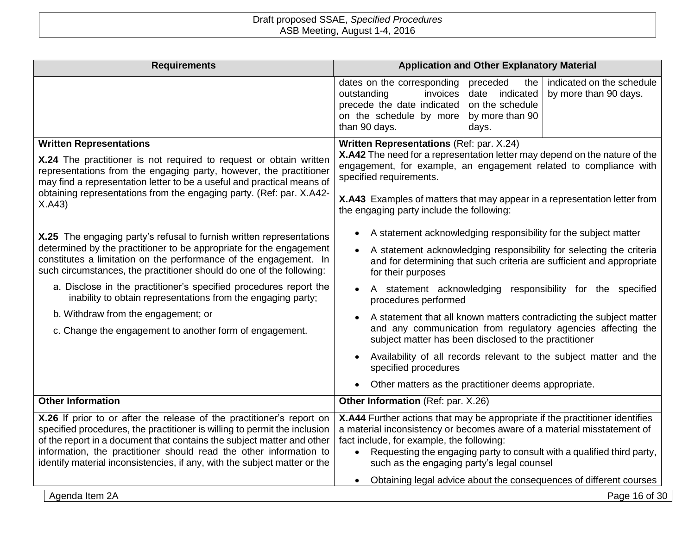| <b>Requirements</b>                                                                                                                                                                                                                                                                                                                                                                                                                                                                                                             | <b>Application and Other Explanatory Material</b>                                                                                                                                                                                                                                                                                                                                                                                                                                                                                                                                                                         |
|---------------------------------------------------------------------------------------------------------------------------------------------------------------------------------------------------------------------------------------------------------------------------------------------------------------------------------------------------------------------------------------------------------------------------------------------------------------------------------------------------------------------------------|---------------------------------------------------------------------------------------------------------------------------------------------------------------------------------------------------------------------------------------------------------------------------------------------------------------------------------------------------------------------------------------------------------------------------------------------------------------------------------------------------------------------------------------------------------------------------------------------------------------------------|
|                                                                                                                                                                                                                                                                                                                                                                                                                                                                                                                                 | preceded<br>indicated on the schedule<br>dates on the corresponding<br>the<br>invoices<br>date indicated<br>by more than 90 days.<br>outstanding<br>precede the date indicated<br>on the schedule<br>on the schedule by more<br>by more than 90<br>than 90 days.<br>days.                                                                                                                                                                                                                                                                                                                                                 |
| <b>Written Representations</b><br>X.24 The practitioner is not required to request or obtain written<br>representations from the engaging party, however, the practitioner<br>may find a representation letter to be a useful and practical means of<br>obtaining representations from the engaging party. (Ref: par. X.A42-<br>X.A43)                                                                                                                                                                                          | Written Representations (Ref: par. X.24)<br>X.A42 The need for a representation letter may depend on the nature of the<br>engagement, for example, an engagement related to compliance with<br>specified requirements.<br>X.A43 Examples of matters that may appear in a representation letter from<br>the engaging party include the following:                                                                                                                                                                                                                                                                          |
| X.25 The engaging party's refusal to furnish written representations<br>determined by the practitioner to be appropriate for the engagement<br>constitutes a limitation on the performance of the engagement. In<br>such circumstances, the practitioner should do one of the following:<br>a. Disclose in the practitioner's specified procedures report the<br>inability to obtain representations from the engaging party;<br>b. Withdraw from the engagement; or<br>c. Change the engagement to another form of engagement. | A statement acknowledging responsibility for the subject matter<br>A statement acknowledging responsibility for selecting the criteria<br>and for determining that such criteria are sufficient and appropriate<br>for their purposes<br>A statement acknowledging responsibility for the specified<br>procedures performed<br>A statement that all known matters contradicting the subject matter<br>and any communication from regulatory agencies affecting the<br>subject matter has been disclosed to the practitioner<br>Availability of all records relevant to the subject matter and the<br>specified procedures |
| <b>Other Information</b>                                                                                                                                                                                                                                                                                                                                                                                                                                                                                                        | Other matters as the practitioner deems appropriate.<br>Other Information (Ref: par. X.26)                                                                                                                                                                                                                                                                                                                                                                                                                                                                                                                                |
| X.26 If prior to or after the release of the practitioner's report on<br>specified procedures, the practitioner is willing to permit the inclusion<br>of the report in a document that contains the subject matter and other<br>information, the practitioner should read the other information to<br>identify material inconsistencies, if any, with the subject matter or the                                                                                                                                                 | X.A44 Further actions that may be appropriate if the practitioner identifies<br>a material inconsistency or becomes aware of a material misstatement of<br>fact include, for example, the following:<br>Requesting the engaging party to consult with a qualified third party,<br>$\bullet$<br>such as the engaging party's legal counsel<br>Obtaining legal advice about the consequences of different courses<br>$\bullet$                                                                                                                                                                                              |
| Agenda Item 2A                                                                                                                                                                                                                                                                                                                                                                                                                                                                                                                  | Page 16 of 30                                                                                                                                                                                                                                                                                                                                                                                                                                                                                                                                                                                                             |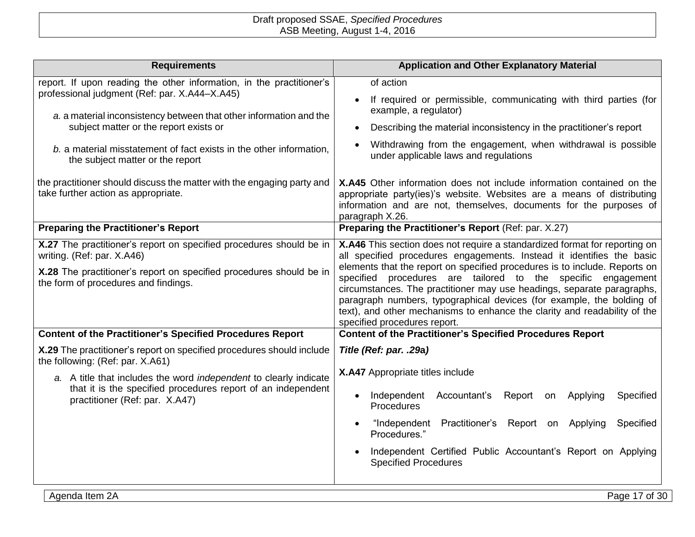| <b>Requirements</b>                                                                                                 | <b>Application and Other Explanatory Material</b>                                                                                                                                                                                                                                                                                                                                                          |
|---------------------------------------------------------------------------------------------------------------------|------------------------------------------------------------------------------------------------------------------------------------------------------------------------------------------------------------------------------------------------------------------------------------------------------------------------------------------------------------------------------------------------------------|
| report. If upon reading the other information, in the practitioner's                                                | of action                                                                                                                                                                                                                                                                                                                                                                                                  |
| professional judgment (Ref: par. X.A44-X.A45)<br>a. a material inconsistency between that other information and the | If required or permissible, communicating with third parties (for<br>example, a regulator)                                                                                                                                                                                                                                                                                                                 |
| subject matter or the report exists or                                                                              | Describing the material inconsistency in the practitioner's report<br>$\bullet$                                                                                                                                                                                                                                                                                                                            |
| b. a material misstatement of fact exists in the other information,<br>the subject matter or the report             | Withdrawing from the engagement, when withdrawal is possible<br>under applicable laws and regulations                                                                                                                                                                                                                                                                                                      |
| the practitioner should discuss the matter with the engaging party and<br>take further action as appropriate.       | <b>X.A45</b> Other information does not include information contained on the<br>appropriate party(ies)'s website. Websites are a means of distributing<br>information and are not, themselves, documents for the purposes of<br>paragraph X.26.                                                                                                                                                            |
| <b>Preparing the Practitioner's Report</b>                                                                          | Preparing the Practitioner's Report (Ref: par. X.27)                                                                                                                                                                                                                                                                                                                                                       |
| X.27 The practitioner's report on specified procedures should be in<br>writing. (Ref: par. X.A46)                   | X.A46 This section does not require a standardized format for reporting on<br>all specified procedures engagements. Instead it identifies the basic                                                                                                                                                                                                                                                        |
| X.28 The practitioner's report on specified procedures should be in<br>the form of procedures and findings.         | elements that the report on specified procedures is to include. Reports on<br>specified procedures are tailored to the specific engagement<br>circumstances. The practitioner may use headings, separate paragraphs,<br>paragraph numbers, typographical devices (for example, the bolding of<br>text), and other mechanisms to enhance the clarity and readability of the<br>specified procedures report. |
| <b>Content of the Practitioner's Specified Procedures Report</b>                                                    | <b>Content of the Practitioner's Specified Procedures Report</b>                                                                                                                                                                                                                                                                                                                                           |
| X.29 The practitioner's report on specified procedures should include<br>the following: (Ref: par. X.A61)           | Title (Ref: par. .29a)                                                                                                                                                                                                                                                                                                                                                                                     |
| a. A title that includes the word independent to clearly indicate                                                   | X.A47 Appropriate titles include                                                                                                                                                                                                                                                                                                                                                                           |
| that it is the specified procedures report of an independent<br>practitioner (Ref: par. X.A47)                      | Independent<br>Accountant's<br>Report<br>Specified<br>Applying<br>on<br><b>Procedures</b>                                                                                                                                                                                                                                                                                                                  |
|                                                                                                                     | "Independent Practitioner's Report on Applying<br>Specified<br>$\bullet$<br>Procedures."                                                                                                                                                                                                                                                                                                                   |
|                                                                                                                     | Independent Certified Public Accountant's Report on Applying<br><b>Specified Procedures</b>                                                                                                                                                                                                                                                                                                                |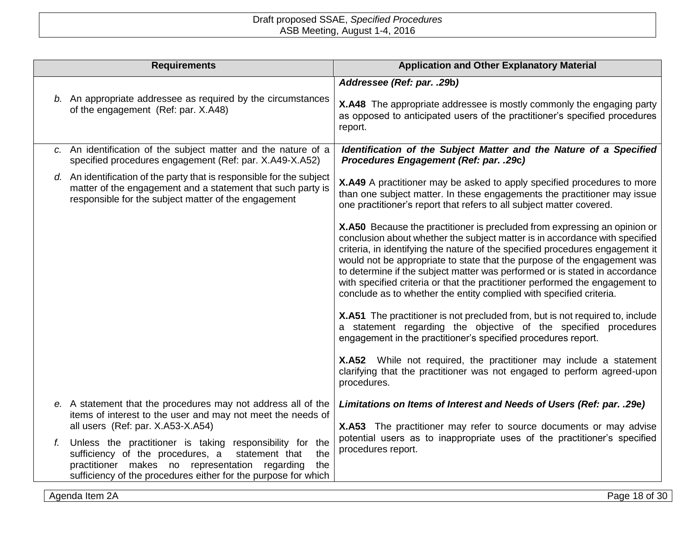| <b>Requirements</b>                                                                                                                                                                                                                              | <b>Application and Other Explanatory Material</b>                                                                                                                                                                                                                                                                                                                                                                                                                                                                                                           |
|--------------------------------------------------------------------------------------------------------------------------------------------------------------------------------------------------------------------------------------------------|-------------------------------------------------------------------------------------------------------------------------------------------------------------------------------------------------------------------------------------------------------------------------------------------------------------------------------------------------------------------------------------------------------------------------------------------------------------------------------------------------------------------------------------------------------------|
| b. An appropriate addressee as required by the circumstances<br>of the engagement (Ref: par. X.A48)                                                                                                                                              | Addressee (Ref: par. .29b)<br>X.A48 The appropriate addressee is mostly commonly the engaging party<br>as opposed to anticipated users of the practitioner's specified procedures<br>report.                                                                                                                                                                                                                                                                                                                                                                |
| c. An identification of the subject matter and the nature of a<br>specified procedures engagement (Ref: par. X.A49-X.A52)                                                                                                                        | Identification of the Subject Matter and the Nature of a Specified<br>Procedures Engagement (Ref: par. .29c)                                                                                                                                                                                                                                                                                                                                                                                                                                                |
| d. An identification of the party that is responsible for the subject<br>matter of the engagement and a statement that such party is<br>responsible for the subject matter of the engagement                                                     | X.A49 A practitioner may be asked to apply specified procedures to more<br>than one subject matter. In these engagements the practitioner may issue<br>one practitioner's report that refers to all subject matter covered.                                                                                                                                                                                                                                                                                                                                 |
|                                                                                                                                                                                                                                                  | X.A50 Because the practitioner is precluded from expressing an opinion or<br>conclusion about whether the subject matter is in accordance with specified<br>criteria, in identifying the nature of the specified procedures engagement it<br>would not be appropriate to state that the purpose of the engagement was<br>to determine if the subject matter was performed or is stated in accordance<br>with specified criteria or that the practitioner performed the engagement to<br>conclude as to whether the entity complied with specified criteria. |
|                                                                                                                                                                                                                                                  | X.A51 The practitioner is not precluded from, but is not required to, include<br>a statement regarding the objective of the specified procedures<br>engagement in the practitioner's specified procedures report.                                                                                                                                                                                                                                                                                                                                           |
|                                                                                                                                                                                                                                                  | X.A52 While not required, the practitioner may include a statement<br>clarifying that the practitioner was not engaged to perform agreed-upon<br>procedures.                                                                                                                                                                                                                                                                                                                                                                                                |
| e. A statement that the procedures may not address all of the<br>items of interest to the user and may not meet the needs of<br>all users (Ref: par. X.A53-X.A54)                                                                                | Limitations on Items of Interest and Needs of Users (Ref: par. .29e)<br>X.A53 The practitioner may refer to source documents or may advise                                                                                                                                                                                                                                                                                                                                                                                                                  |
| Unless the practitioner is taking responsibility for the<br>sufficiency of the procedures, a<br>statement that<br>the<br>practitioner makes no representation regarding<br>the<br>sufficiency of the procedures either for the purpose for which | potential users as to inappropriate uses of the practitioner's specified<br>procedures report.                                                                                                                                                                                                                                                                                                                                                                                                                                                              |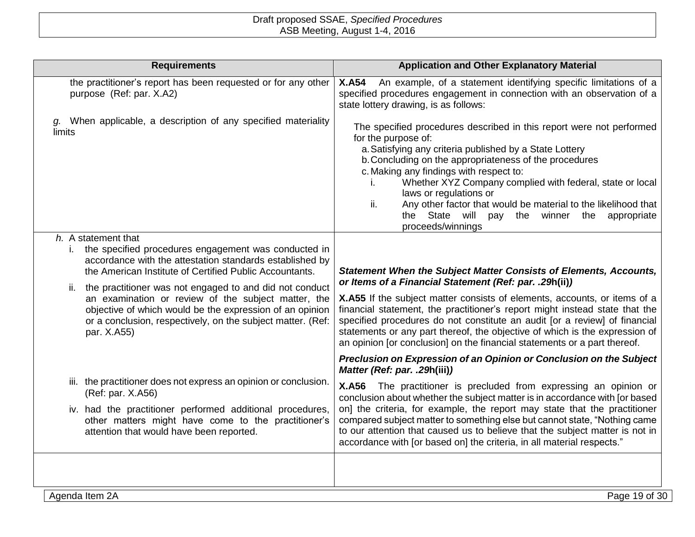| <b>Requirements</b>                                                                                                                                                                                                                                                                                                                                                                                                                                   | <b>Application and Other Explanatory Material</b>                                                                                                                                                                                                                                                                                                                                                                                                                                                                                        |
|-------------------------------------------------------------------------------------------------------------------------------------------------------------------------------------------------------------------------------------------------------------------------------------------------------------------------------------------------------------------------------------------------------------------------------------------------------|------------------------------------------------------------------------------------------------------------------------------------------------------------------------------------------------------------------------------------------------------------------------------------------------------------------------------------------------------------------------------------------------------------------------------------------------------------------------------------------------------------------------------------------|
| the practitioner's report has been requested or for any other<br>purpose (Ref: par. X.A2)                                                                                                                                                                                                                                                                                                                                                             | An example, of a statement identifying specific limitations of a<br><b>X.A54</b><br>specified procedures engagement in connection with an observation of a<br>state lottery drawing, is as follows:                                                                                                                                                                                                                                                                                                                                      |
| g. When applicable, a description of any specified materiality<br>limits                                                                                                                                                                                                                                                                                                                                                                              | The specified procedures described in this report were not performed<br>for the purpose of:<br>a. Satisfying any criteria published by a State Lottery<br>b. Concluding on the appropriateness of the procedures<br>c. Making any findings with respect to:<br>Whether XYZ Company complied with federal, state or local<br>Τ.<br>laws or regulations or<br>ii.<br>Any other factor that would be material to the likelihood that<br>the State will pay the winner the appropriate<br>proceeds/winnings                                  |
| h. A statement that                                                                                                                                                                                                                                                                                                                                                                                                                                   |                                                                                                                                                                                                                                                                                                                                                                                                                                                                                                                                          |
| the specified procedures engagement was conducted in<br>I.,<br>accordance with the attestation standards established by<br>the American Institute of Certified Public Accountants.<br>the practitioner was not engaged to and did not conduct<br>ii.<br>an examination or review of the subject matter, the<br>objective of which would be the expression of an opinion<br>or a conclusion, respectively, on the subject matter. (Ref:<br>par. X.A55) | <b>Statement When the Subject Matter Consists of Elements, Accounts,</b><br>or Items of a Financial Statement (Ref: par. .29h(ii))<br>X.A55 If the subject matter consists of elements, accounts, or items of a<br>financial statement, the practitioner's report might instead state that the<br>specified procedures do not constitute an audit [or a review] of financial<br>statements or any part thereof, the objective of which is the expression of<br>an opinion [or conclusion] on the financial statements or a part thereof. |
|                                                                                                                                                                                                                                                                                                                                                                                                                                                       | Preclusion on Expression of an Opinion or Conclusion on the Subject<br>Matter (Ref: par. .29h(iii))                                                                                                                                                                                                                                                                                                                                                                                                                                      |
| iii. the practitioner does not express an opinion or conclusion.<br>(Ref: par. X.A56)<br>iv. had the practitioner performed additional procedures,<br>other matters might have come to the practitioner's<br>attention that would have been reported.                                                                                                                                                                                                 | X.A56 The practitioner is precluded from expressing an opinion or<br>conclusion about whether the subject matter is in accordance with [or based<br>on] the criteria, for example, the report may state that the practitioner<br>compared subject matter to something else but cannot state, "Nothing came<br>to our attention that caused us to believe that the subject matter is not in<br>accordance with [or based on] the criteria, in all material respects."                                                                     |
|                                                                                                                                                                                                                                                                                                                                                                                                                                                       |                                                                                                                                                                                                                                                                                                                                                                                                                                                                                                                                          |
| Agenda Item 2A                                                                                                                                                                                                                                                                                                                                                                                                                                        | Page 19 of 30                                                                                                                                                                                                                                                                                                                                                                                                                                                                                                                            |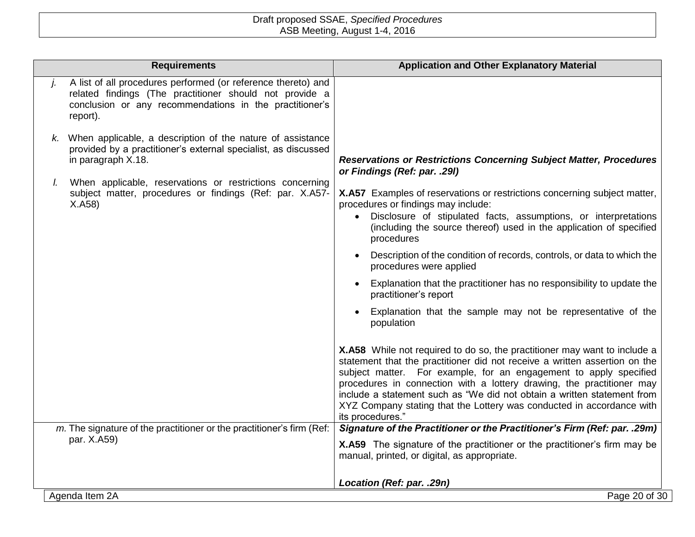|    | <b>Requirements</b>                                                                                                                                                                             | <b>Application and Other Explanatory Material</b>                                                                                                                                                                                                                                                                                                                                                                                                                             |
|----|-------------------------------------------------------------------------------------------------------------------------------------------------------------------------------------------------|-------------------------------------------------------------------------------------------------------------------------------------------------------------------------------------------------------------------------------------------------------------------------------------------------------------------------------------------------------------------------------------------------------------------------------------------------------------------------------|
|    | A list of all procedures performed (or reference thereto) and<br>related findings (The practitioner should not provide a<br>conclusion or any recommendations in the practitioner's<br>report). |                                                                                                                                                                                                                                                                                                                                                                                                                                                                               |
| K. | When applicable, a description of the nature of assistance<br>provided by a practitioner's external specialist, as discussed<br>in paragraph X.18.                                              | <b>Reservations or Restrictions Concerning Subject Matter, Procedures</b><br>or Findings (Ref: par. .29I)                                                                                                                                                                                                                                                                                                                                                                     |
| I. | When applicable, reservations or restrictions concerning<br>subject matter, procedures or findings (Ref: par. X.A57-<br>X.A58                                                                   | X.A57 Examples of reservations or restrictions concerning subject matter,<br>procedures or findings may include:<br>Disclosure of stipulated facts, assumptions, or interpretations<br>$\bullet$<br>(including the source thereof) used in the application of specified<br>procedures                                                                                                                                                                                         |
|    |                                                                                                                                                                                                 | Description of the condition of records, controls, or data to which the<br>procedures were applied                                                                                                                                                                                                                                                                                                                                                                            |
|    |                                                                                                                                                                                                 | Explanation that the practitioner has no responsibility to update the<br>practitioner's report                                                                                                                                                                                                                                                                                                                                                                                |
|    |                                                                                                                                                                                                 | Explanation that the sample may not be representative of the<br>population                                                                                                                                                                                                                                                                                                                                                                                                    |
|    |                                                                                                                                                                                                 | X.A58 While not required to do so, the practitioner may want to include a<br>statement that the practitioner did not receive a written assertion on the<br>subject matter. For example, for an engagement to apply specified<br>procedures in connection with a lottery drawing, the practitioner may<br>include a statement such as "We did not obtain a written statement from<br>XYZ Company stating that the Lottery was conducted in accordance with<br>its procedures." |
|    | m. The signature of the practitioner or the practitioner's firm (Ref:                                                                                                                           | Signature of the Practitioner or the Practitioner's Firm (Ref: par. .29m)                                                                                                                                                                                                                                                                                                                                                                                                     |
|    | par. X.A59)                                                                                                                                                                                     | X.A59 The signature of the practitioner or the practitioner's firm may be<br>manual, printed, or digital, as appropriate.                                                                                                                                                                                                                                                                                                                                                     |
|    |                                                                                                                                                                                                 | Location (Ref: par. .29n)                                                                                                                                                                                                                                                                                                                                                                                                                                                     |
|    | Agenda Item 2A                                                                                                                                                                                  | Page 20 of 30                                                                                                                                                                                                                                                                                                                                                                                                                                                                 |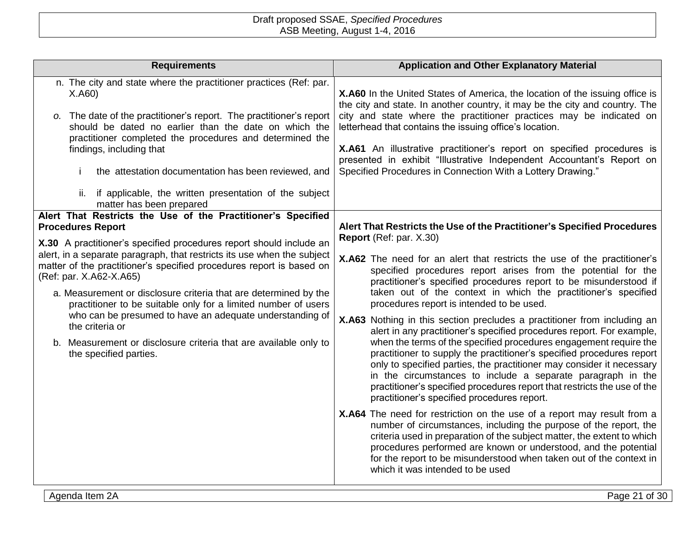| <b>Requirements</b>                                                                                                                                                                                                                                                                                                                                                                                                                                                                                                                                                                              | <b>Application and Other Explanatory Material</b>                                                                                                                                                                                                                                                                                                                                                                                                                                                                                                                                                                                                                                                                                                                                                                                                                                                                                                                                                         |
|--------------------------------------------------------------------------------------------------------------------------------------------------------------------------------------------------------------------------------------------------------------------------------------------------------------------------------------------------------------------------------------------------------------------------------------------------------------------------------------------------------------------------------------------------------------------------------------------------|-----------------------------------------------------------------------------------------------------------------------------------------------------------------------------------------------------------------------------------------------------------------------------------------------------------------------------------------------------------------------------------------------------------------------------------------------------------------------------------------------------------------------------------------------------------------------------------------------------------------------------------------------------------------------------------------------------------------------------------------------------------------------------------------------------------------------------------------------------------------------------------------------------------------------------------------------------------------------------------------------------------|
| n. The city and state where the practitioner practices (Ref: par.<br>X.A60<br>o. The date of the practitioner's report. The practitioner's report<br>should be dated no earlier than the date on which the<br>practitioner completed the procedures and determined the<br>findings, including that<br>the attestation documentation has been reviewed, and<br>j.<br>if applicable, the written presentation of the subject<br>ii.                                                                                                                                                                | X.A60 In the United States of America, the location of the issuing office is<br>the city and state. In another country, it may be the city and country. The<br>city and state where the practitioner practices may be indicated on<br>letterhead that contains the issuing office's location.<br>X.A61 An illustrative practitioner's report on specified procedures is<br>presented in exhibit "Illustrative Independent Accountant's Report on<br>Specified Procedures in Connection With a Lottery Drawing."                                                                                                                                                                                                                                                                                                                                                                                                                                                                                           |
| matter has been prepared<br>Alert That Restricts the Use of the Practitioner's Specified                                                                                                                                                                                                                                                                                                                                                                                                                                                                                                         |                                                                                                                                                                                                                                                                                                                                                                                                                                                                                                                                                                                                                                                                                                                                                                                                                                                                                                                                                                                                           |
| <b>Procedures Report</b><br>X.30 A practitioner's specified procedures report should include an<br>alert, in a separate paragraph, that restricts its use when the subject<br>matter of the practitioner's specified procedures report is based on<br>(Ref: par. X.A62-X.A65)<br>a. Measurement or disclosure criteria that are determined by the<br>practitioner to be suitable only for a limited number of users<br>who can be presumed to have an adequate understanding of<br>the criteria or<br>b. Measurement or disclosure criteria that are available only to<br>the specified parties. | Alert That Restricts the Use of the Practitioner's Specified Procedures<br>Report (Ref: par. X.30)<br>X.A62 The need for an alert that restricts the use of the practitioner's<br>specified procedures report arises from the potential for the<br>practitioner's specified procedures report to be misunderstood if<br>taken out of the context in which the practitioner's specified<br>procedures report is intended to be used.<br>X.A63 Nothing in this section precludes a practitioner from including an<br>alert in any practitioner's specified procedures report. For example,<br>when the terms of the specified procedures engagement require the<br>practitioner to supply the practitioner's specified procedures report<br>only to specified parties, the practitioner may consider it necessary<br>in the circumstances to include a separate paragraph in the<br>practitioner's specified procedures report that restricts the use of the<br>practitioner's specified procedures report. |
|                                                                                                                                                                                                                                                                                                                                                                                                                                                                                                                                                                                                  | X.A64 The need for restriction on the use of a report may result from a<br>number of circumstances, including the purpose of the report, the<br>criteria used in preparation of the subject matter, the extent to which<br>procedures performed are known or understood, and the potential<br>for the report to be misunderstood when taken out of the context in<br>which it was intended to be used                                                                                                                                                                                                                                                                                                                                                                                                                                                                                                                                                                                                     |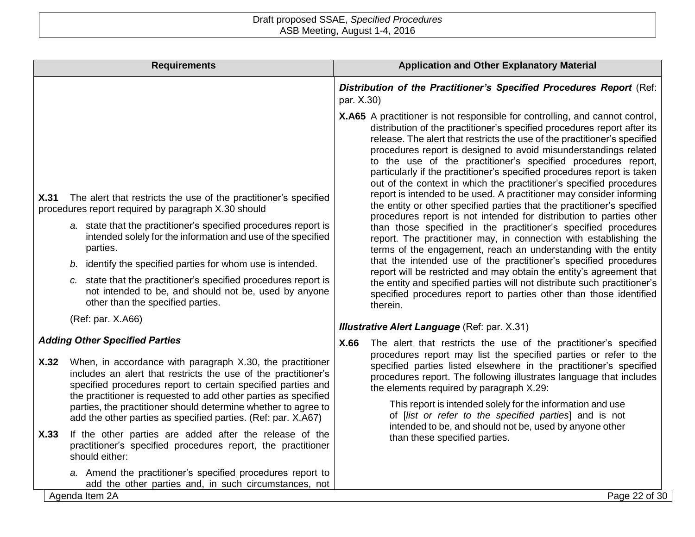|      | <b>Requirements</b>                                                                                                                                                                                                                                                                                                                                                                                                                                                                                       |            | <b>Application and Other Explanatory Material</b>                                                                                                                                                                                                                                                                                                                                                                                                                                                                                                                                                                                                                                                                                                                                                                                                                                                                                                                                                                                                                                                                                                                                                                                                                           |
|------|-----------------------------------------------------------------------------------------------------------------------------------------------------------------------------------------------------------------------------------------------------------------------------------------------------------------------------------------------------------------------------------------------------------------------------------------------------------------------------------------------------------|------------|-----------------------------------------------------------------------------------------------------------------------------------------------------------------------------------------------------------------------------------------------------------------------------------------------------------------------------------------------------------------------------------------------------------------------------------------------------------------------------------------------------------------------------------------------------------------------------------------------------------------------------------------------------------------------------------------------------------------------------------------------------------------------------------------------------------------------------------------------------------------------------------------------------------------------------------------------------------------------------------------------------------------------------------------------------------------------------------------------------------------------------------------------------------------------------------------------------------------------------------------------------------------------------|
|      |                                                                                                                                                                                                                                                                                                                                                                                                                                                                                                           | par. X.30) | Distribution of the Practitioner's Specified Procedures Report (Ref:                                                                                                                                                                                                                                                                                                                                                                                                                                                                                                                                                                                                                                                                                                                                                                                                                                                                                                                                                                                                                                                                                                                                                                                                        |
| X.31 | The alert that restricts the use of the practitioner's specified<br>procedures report required by paragraph X.30 should<br>a. state that the practitioner's specified procedures report is<br>intended solely for the information and use of the specified<br>parties.<br>identify the specified parties for whom use is intended.<br>b.<br>c. state that the practitioner's specified procedures report is<br>not intended to be, and should not be, used by anyone<br>other than the specified parties. |            | X.A65 A practitioner is not responsible for controlling, and cannot control,<br>distribution of the practitioner's specified procedures report after its<br>release. The alert that restricts the use of the practitioner's specified<br>procedures report is designed to avoid misunderstandings related<br>to the use of the practitioner's specified procedures report,<br>particularly if the practitioner's specified procedures report is taken<br>out of the context in which the practitioner's specified procedures<br>report is intended to be used. A practitioner may consider informing<br>the entity or other specified parties that the practitioner's specified<br>procedures report is not intended for distribution to parties other<br>than those specified in the practitioner's specified procedures<br>report. The practitioner may, in connection with establishing the<br>terms of the engagement, reach an understanding with the entity<br>that the intended use of the practitioner's specified procedures<br>report will be restricted and may obtain the entity's agreement that<br>the entity and specified parties will not distribute such practitioner's<br>specified procedures report to parties other than those identified<br>therein. |
|      | (Ref: par. X.A66)                                                                                                                                                                                                                                                                                                                                                                                                                                                                                         |            | <b>Illustrative Alert Language (Ref: par. X.31)</b>                                                                                                                                                                                                                                                                                                                                                                                                                                                                                                                                                                                                                                                                                                                                                                                                                                                                                                                                                                                                                                                                                                                                                                                                                         |
|      | <b>Adding Other Specified Parties</b>                                                                                                                                                                                                                                                                                                                                                                                                                                                                     | X.66       | The alert that restricts the use of the practitioner's specified                                                                                                                                                                                                                                                                                                                                                                                                                                                                                                                                                                                                                                                                                                                                                                                                                                                                                                                                                                                                                                                                                                                                                                                                            |
| X.32 | When, in accordance with paragraph X.30, the practitioner<br>includes an alert that restricts the use of the practitioner's<br>specified procedures report to certain specified parties and<br>the practitioner is requested to add other parties as specified                                                                                                                                                                                                                                            |            | procedures report may list the specified parties or refer to the<br>specified parties listed elsewhere in the practitioner's specified<br>procedures report. The following illustrates language that includes<br>the elements required by paragraph X.29:                                                                                                                                                                                                                                                                                                                                                                                                                                                                                                                                                                                                                                                                                                                                                                                                                                                                                                                                                                                                                   |
|      | parties, the practitioner should determine whether to agree to<br>add the other parties as specified parties. (Ref: par. X.A67)                                                                                                                                                                                                                                                                                                                                                                           |            | This report is intended solely for the information and use<br>of [list or refer to the specified parties] and is not<br>intended to be, and should not be, used by anyone other                                                                                                                                                                                                                                                                                                                                                                                                                                                                                                                                                                                                                                                                                                                                                                                                                                                                                                                                                                                                                                                                                             |
| X.33 | If the other parties are added after the release of the<br>practitioner's specified procedures report, the practitioner<br>should either:                                                                                                                                                                                                                                                                                                                                                                 |            | than these specified parties.                                                                                                                                                                                                                                                                                                                                                                                                                                                                                                                                                                                                                                                                                                                                                                                                                                                                                                                                                                                                                                                                                                                                                                                                                                               |
|      | a. Amend the practitioner's specified procedures report to<br>add the other parties and, in such circumstances, not                                                                                                                                                                                                                                                                                                                                                                                       |            |                                                                                                                                                                                                                                                                                                                                                                                                                                                                                                                                                                                                                                                                                                                                                                                                                                                                                                                                                                                                                                                                                                                                                                                                                                                                             |
|      | Agenda Item 2A                                                                                                                                                                                                                                                                                                                                                                                                                                                                                            |            | Page 22 of 30                                                                                                                                                                                                                                                                                                                                                                                                                                                                                                                                                                                                                                                                                                                                                                                                                                                                                                                                                                                                                                                                                                                                                                                                                                                               |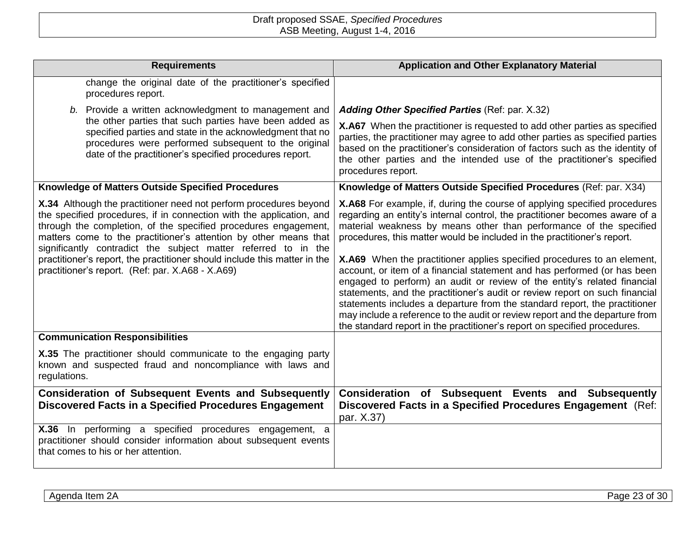| <b>Requirements</b>                                                                                                                                                                                                                                                                                                                                                                                                                                                                 | <b>Application and Other Explanatory Material</b>                                                                                                                                                                                                                                                                                                                                                                                                                                                                                                                                                                                                                                                                                                                                                                                                                                    |
|-------------------------------------------------------------------------------------------------------------------------------------------------------------------------------------------------------------------------------------------------------------------------------------------------------------------------------------------------------------------------------------------------------------------------------------------------------------------------------------|--------------------------------------------------------------------------------------------------------------------------------------------------------------------------------------------------------------------------------------------------------------------------------------------------------------------------------------------------------------------------------------------------------------------------------------------------------------------------------------------------------------------------------------------------------------------------------------------------------------------------------------------------------------------------------------------------------------------------------------------------------------------------------------------------------------------------------------------------------------------------------------|
| change the original date of the practitioner's specified<br>procedures report.                                                                                                                                                                                                                                                                                                                                                                                                      |                                                                                                                                                                                                                                                                                                                                                                                                                                                                                                                                                                                                                                                                                                                                                                                                                                                                                      |
| b. Provide a written acknowledgment to management and                                                                                                                                                                                                                                                                                                                                                                                                                               | Adding Other Specified Parties (Ref: par. X.32)                                                                                                                                                                                                                                                                                                                                                                                                                                                                                                                                                                                                                                                                                                                                                                                                                                      |
| the other parties that such parties have been added as<br>specified parties and state in the acknowledgment that no<br>procedures were performed subsequent to the original<br>date of the practitioner's specified procedures report.                                                                                                                                                                                                                                              | X.A67 When the practitioner is requested to add other parties as specified<br>parties, the practitioner may agree to add other parties as specified parties<br>based on the practitioner's consideration of factors such as the identity of<br>the other parties and the intended use of the practitioner's specified<br>procedures report.                                                                                                                                                                                                                                                                                                                                                                                                                                                                                                                                          |
| Knowledge of Matters Outside Specified Procedures                                                                                                                                                                                                                                                                                                                                                                                                                                   | Knowledge of Matters Outside Specified Procedures (Ref: par. X34)                                                                                                                                                                                                                                                                                                                                                                                                                                                                                                                                                                                                                                                                                                                                                                                                                    |
| X.34 Although the practitioner need not perform procedures beyond<br>the specified procedures, if in connection with the application, and<br>through the completion, of the specified procedures engagement,<br>matters come to the practitioner's attention by other means that<br>significantly contradict the subject matter referred to in the<br>practitioner's report, the practitioner should include this matter in the<br>practitioner's report. (Ref: par. X.A68 - X.A69) | <b>X.A68</b> For example, if, during the course of applying specified procedures<br>regarding an entity's internal control, the practitioner becomes aware of a<br>material weakness by means other than performance of the specified<br>procedures, this matter would be included in the practitioner's report.<br><b>X.A69</b> When the practitioner applies specified procedures to an element,<br>account, or item of a financial statement and has performed (or has been<br>engaged to perform) an audit or review of the entity's related financial<br>statements, and the practitioner's audit or review report on such financial<br>statements includes a departure from the standard report, the practitioner<br>may include a reference to the audit or review report and the departure from<br>the standard report in the practitioner's report on specified procedures. |
| <b>Communication Responsibilities</b>                                                                                                                                                                                                                                                                                                                                                                                                                                               |                                                                                                                                                                                                                                                                                                                                                                                                                                                                                                                                                                                                                                                                                                                                                                                                                                                                                      |
| X.35 The practitioner should communicate to the engaging party<br>known and suspected fraud and noncompliance with laws and<br>regulations.                                                                                                                                                                                                                                                                                                                                         |                                                                                                                                                                                                                                                                                                                                                                                                                                                                                                                                                                                                                                                                                                                                                                                                                                                                                      |
| <b>Consideration of Subsequent Events and Subsequently</b><br><b>Discovered Facts in a Specified Procedures Engagement</b>                                                                                                                                                                                                                                                                                                                                                          | Consideration of Subsequent Events and Subsequently<br>Discovered Facts in a Specified Procedures Engagement (Ref:<br>par. X.37)                                                                                                                                                                                                                                                                                                                                                                                                                                                                                                                                                                                                                                                                                                                                                     |
| X.36 In performing a specified procedures engagement, a<br>practitioner should consider information about subsequent events<br>that comes to his or her attention.                                                                                                                                                                                                                                                                                                                  |                                                                                                                                                                                                                                                                                                                                                                                                                                                                                                                                                                                                                                                                                                                                                                                                                                                                                      |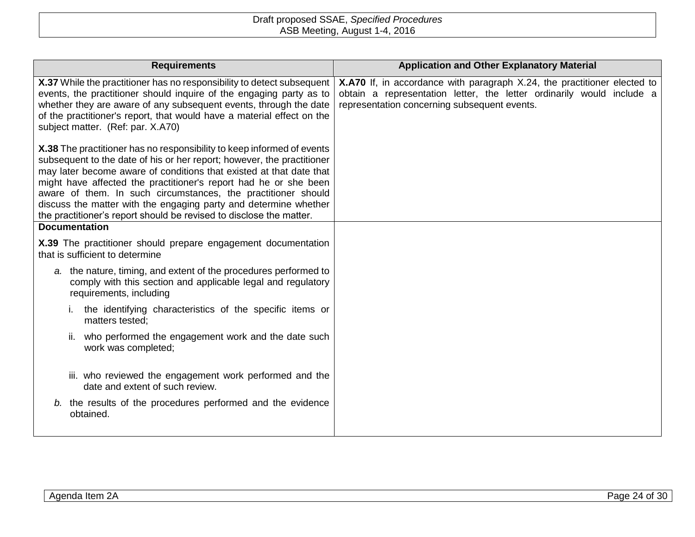| <b>Requirements</b>                                                                                                                                                                                                                                                                                                                                                                                                                                                                                                             | <b>Application and Other Explanatory Material</b>                                                                                                                                                        |
|---------------------------------------------------------------------------------------------------------------------------------------------------------------------------------------------------------------------------------------------------------------------------------------------------------------------------------------------------------------------------------------------------------------------------------------------------------------------------------------------------------------------------------|----------------------------------------------------------------------------------------------------------------------------------------------------------------------------------------------------------|
| X.37 While the practitioner has no responsibility to detect subsequent<br>events, the practitioner should inquire of the engaging party as to<br>whether they are aware of any subsequent events, through the date<br>of the practitioner's report, that would have a material effect on the<br>subject matter. (Ref: par. X.A70)                                                                                                                                                                                               | <b>X.A70</b> If, in accordance with paragraph X.24, the practitioner elected to<br>obtain a representation letter, the letter ordinarily would include a<br>representation concerning subsequent events. |
| X.38 The practitioner has no responsibility to keep informed of events<br>subsequent to the date of his or her report; however, the practitioner<br>may later become aware of conditions that existed at that date that<br>might have affected the practitioner's report had he or she been<br>aware of them. In such circumstances, the practitioner should<br>discuss the matter with the engaging party and determine whether<br>the practitioner's report should be revised to disclose the matter.<br><b>Documentation</b> |                                                                                                                                                                                                          |
| X.39 The practitioner should prepare engagement documentation<br>that is sufficient to determine                                                                                                                                                                                                                                                                                                                                                                                                                                |                                                                                                                                                                                                          |
| a. the nature, timing, and extent of the procedures performed to<br>comply with this section and applicable legal and regulatory<br>requirements, including                                                                                                                                                                                                                                                                                                                                                                     |                                                                                                                                                                                                          |
| the identifying characteristics of the specific items or<br>matters tested:                                                                                                                                                                                                                                                                                                                                                                                                                                                     |                                                                                                                                                                                                          |
| who performed the engagement work and the date such<br>ii.<br>work was completed;                                                                                                                                                                                                                                                                                                                                                                                                                                               |                                                                                                                                                                                                          |
| iii. who reviewed the engagement work performed and the<br>date and extent of such review.                                                                                                                                                                                                                                                                                                                                                                                                                                      |                                                                                                                                                                                                          |
| b. the results of the procedures performed and the evidence<br>obtained.                                                                                                                                                                                                                                                                                                                                                                                                                                                        |                                                                                                                                                                                                          |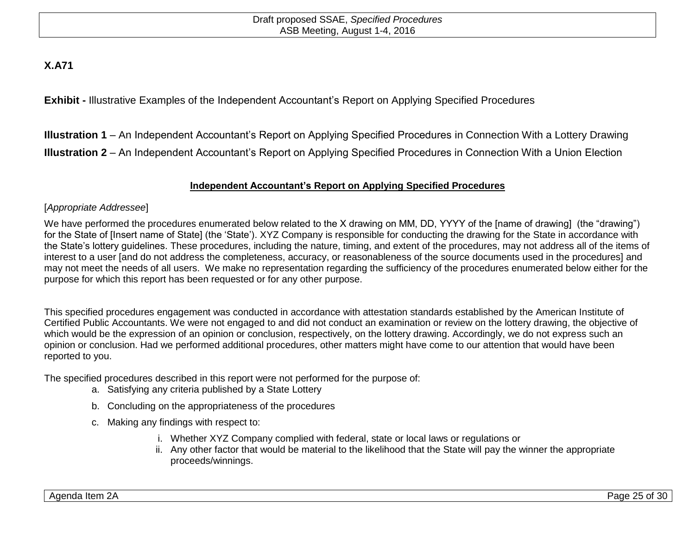# **X.A71**

**Exhibit -** Illustrative Examples of the Independent Accountant's Report on Applying Specified Procedures

**Illustration 1** – An Independent Accountant's Report on Applying Specified Procedures in Connection With a Lottery Drawing **Illustration 2** – An Independent Accountant's Report on Applying Specified Procedures in Connection With a Union Election

## **Independent Accountant's Report on Applying Specified Procedures**

## [*Appropriate Addressee*]

We have performed the procedures enumerated below related to the X drawing on MM, DD, YYYY of the [name of drawing] (the "drawing") for the State of [Insert name of State] (the 'State'). XYZ Company is responsible for conducting the drawing for the State in accordance with the State's lottery guidelines. These procedures, including the nature, timing, and extent of the procedures, may not address all of the items of interest to a user [and do not address the completeness, accuracy, or reasonableness of the source documents used in the procedures] and may not meet the needs of all users. We make no representation regarding the sufficiency of the procedures enumerated below either for the purpose for which this report has been requested or for any other purpose.

This specified procedures engagement was conducted in accordance with attestation standards established by the American Institute of Certified Public Accountants. We were not engaged to and did not conduct an examination or review on the lottery drawing, the objective of which would be the expression of an opinion or conclusion, respectively, on the lottery drawing. Accordingly, we do not express such an opinion or conclusion. Had we performed additional procedures, other matters might have come to our attention that would have been reported to you.

The specified procedures described in this report were not performed for the purpose of:

- a. Satisfying any criteria published by a State Lottery
- b. Concluding on the appropriateness of the procedures
- c. Making any findings with respect to:
	- i. Whether XYZ Company complied with federal, state or local laws or regulations or
	- ii. Any other factor that would be material to the likelihood that the State will pay the winner the appropriate proceeds/winnings.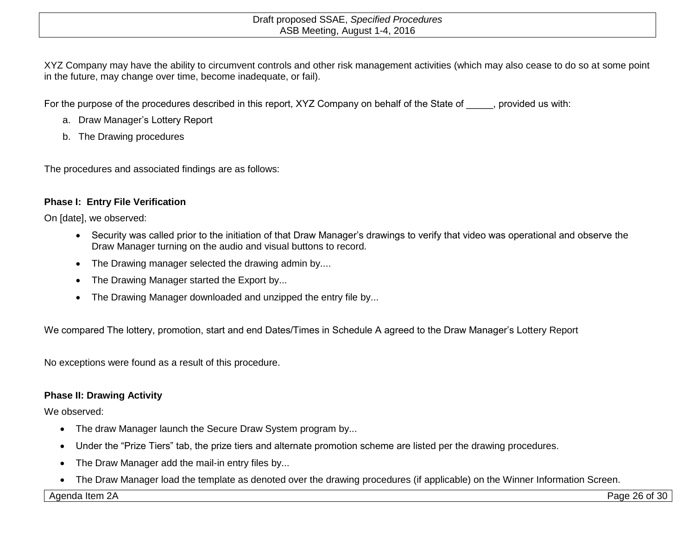XYZ Company may have the ability to circumvent controls and other risk management activities (which may also cease to do so at some point in the future, may change over time, become inadequate, or fail).

For the purpose of the procedures described in this report, XYZ Company on behalf of the State of \_\_\_\_\_, provided us with:

- a. Draw Manager's Lottery Report
- b. The Drawing procedures

The procedures and associated findings are as follows:

## **Phase I: Entry File Verification**

On [date], we observed:

- Security was called prior to the initiation of that Draw Manager's drawings to verify that video was operational and observe the Draw Manager turning on the audio and visual buttons to record.
- The Drawing manager selected the drawing admin by....
- The Drawing Manager started the Export by...
- The Drawing Manager downloaded and unzipped the entry file by...

We compared The lottery, promotion, start and end Dates/Times in Schedule A agreed to the Draw Manager's Lottery Report

No exceptions were found as a result of this procedure.

## **Phase II: Drawing Activity**

We observed:

- The draw Manager launch the Secure Draw System program by...
- Under the "Prize Tiers" tab, the prize tiers and alternate promotion scheme are listed per the drawing procedures.
- The Draw Manager add the mail-in entry files by...
- The Draw Manager load the template as denoted over the drawing procedures (if applicable) on the Winner Information Screen.

Agenda Item 2A Page 26 of 30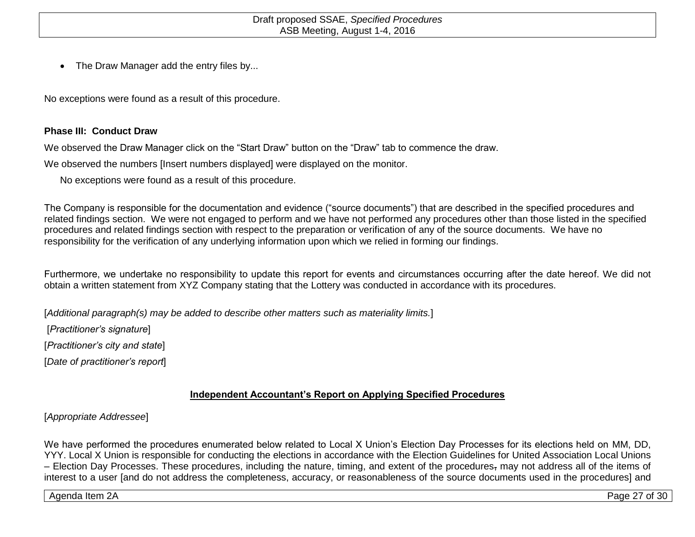• The Draw Manager add the entry files by...

No exceptions were found as a result of this procedure.

## **Phase III: Conduct Draw**

We observed the Draw Manager click on the "Start Draw" button on the "Draw" tab to commence the draw.

We observed the numbers [Insert numbers displayed] were displayed on the monitor.

No exceptions were found as a result of this procedure.

The Company is responsible for the documentation and evidence ("source documents") that are described in the specified procedures and related findings section. We were not engaged to perform and we have not performed any procedures other than those listed in the specified procedures and related findings section with respect to the preparation or verification of any of the source documents. We have no responsibility for the verification of any underlying information upon which we relied in forming our findings.

Furthermore, we undertake no responsibility to update this report for events and circumstances occurring after the date hereof. We did not obtain a written statement from XYZ Company stating that the Lottery was conducted in accordance with its procedures.

[*Additional paragraph(s) may be added to describe other matters such as materiality limits.*]

[*Practitioner's signature*]

[*Practitioner's city and state*]

[*Date of practitioner's report*]

## **Independent Accountant's Report on Applying Specified Procedures**

## [*Appropriate Addressee*]

We have performed the procedures enumerated below related to Local X Union's Election Day Processes for its elections held on MM, DD, YYY. Local X Union is responsible for conducting the elections in accordance with the Election Guidelines for United Association Local Unions – Election Day Processes. These procedures, including the nature, timing, and extent of the procedures, may not address all of the items of interest to a user [and do not address the completeness, accuracy, or reasonableness of the source documents used in the procedures] and

Agenda Item 2A Page 27 of 30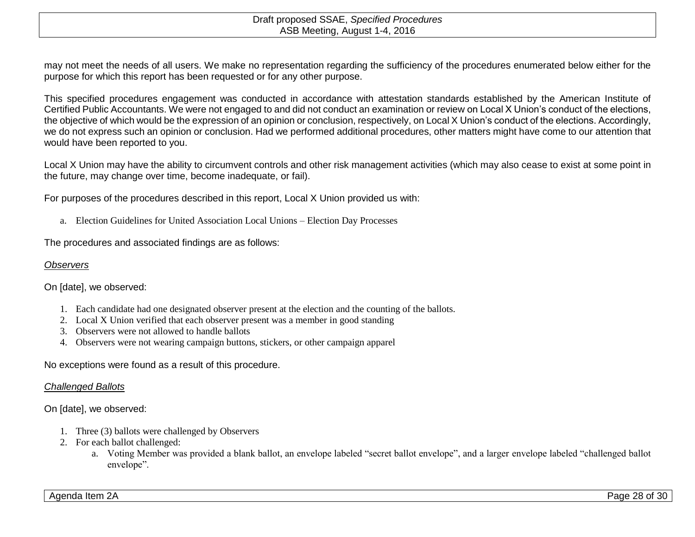may not meet the needs of all users. We make no representation regarding the sufficiency of the procedures enumerated below either for the purpose for which this report has been requested or for any other purpose.

This specified procedures engagement was conducted in accordance with attestation standards established by the American Institute of Certified Public Accountants. We were not engaged to and did not conduct an examination or review on Local X Union's conduct of the elections, the objective of which would be the expression of an opinion or conclusion, respectively, on Local X Union's conduct of the elections. Accordingly, we do not express such an opinion or conclusion. Had we performed additional procedures, other matters might have come to our attention that would have been reported to you.

Local X Union may have the ability to circumvent controls and other risk management activities (which may also cease to exist at some point in the future, may change over time, become inadequate, or fail).

For purposes of the procedures described in this report, Local X Union provided us with:

a. Election Guidelines for United Association Local Unions – Election Day Processes

The procedures and associated findings are as follows:

#### *Observers*

On [date], we observed:

- 1. Each candidate had one designated observer present at the election and the counting of the ballots.
- 2. Local X Union verified that each observer present was a member in good standing
- 3. Observers were not allowed to handle ballots
- 4. Observers were not wearing campaign buttons, stickers, or other campaign apparel

No exceptions were found as a result of this procedure.

#### *Challenged Ballots*

On [date], we observed:

- 1. Three (3) ballots were challenged by Observers
- 2. For each ballot challenged:
	- a. Voting Member was provided a blank ballot, an envelope labeled "secret ballot envelope", and a larger envelope labeled "challenged ballot envelope".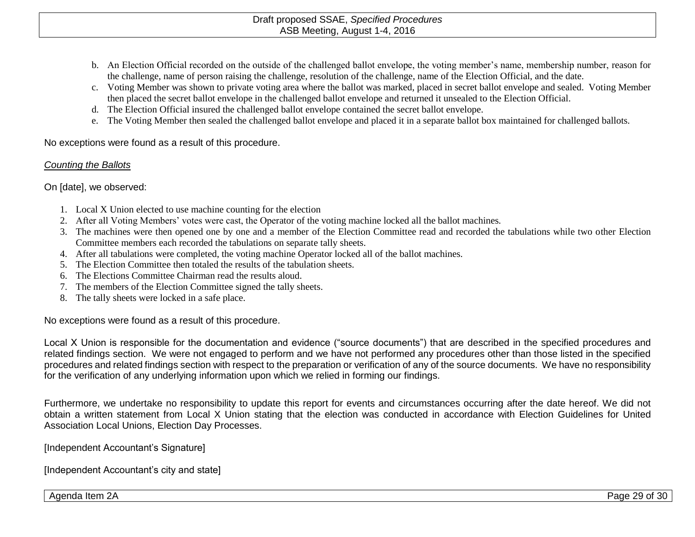- b. An Election Official recorded on the outside of the challenged ballot envelope, the voting member's name, membership number, reason for the challenge, name of person raising the challenge, resolution of the challenge, name of the Election Official, and the date.
- c. Voting Member was shown to private voting area where the ballot was marked, placed in secret ballot envelope and sealed. Voting Member then placed the secret ballot envelope in the challenged ballot envelope and returned it unsealed to the Election Official.
- d. The Election Official insured the challenged ballot envelope contained the secret ballot envelope.
- e. The Voting Member then sealed the challenged ballot envelope and placed it in a separate ballot box maintained for challenged ballots.

No exceptions were found as a result of this procedure.

## *Counting the Ballots*

On [date], we observed:

- 1. Local X Union elected to use machine counting for the election
- 2. After all Voting Members' votes were cast, the Operator of the voting machine locked all the ballot machines.
- 3. The machines were then opened one by one and a member of the Election Committee read and recorded the tabulations while two other Election Committee members each recorded the tabulations on separate tally sheets.
- 4. After all tabulations were completed, the voting machine Operator locked all of the ballot machines.
- 5. The Election Committee then totaled the results of the tabulation sheets.
- 6. The Elections Committee Chairman read the results aloud.
- 7. The members of the Election Committee signed the tally sheets.
- 8. The tally sheets were locked in a safe place.

No exceptions were found as a result of this procedure.

Local X Union is responsible for the documentation and evidence ("source documents") that are described in the specified procedures and related findings section. We were not engaged to perform and we have not performed any procedures other than those listed in the specified procedures and related findings section with respect to the preparation or verification of any of the source documents. We have no responsibility for the verification of any underlying information upon which we relied in forming our findings.

Furthermore, we undertake no responsibility to update this report for events and circumstances occurring after the date hereof. We did not obtain a written statement from Local X Union stating that the election was conducted in accordance with Election Guidelines for United Association Local Unions, Election Day Processes.

[Independent Accountant's Signature]

[Independent Accountant's city and state]